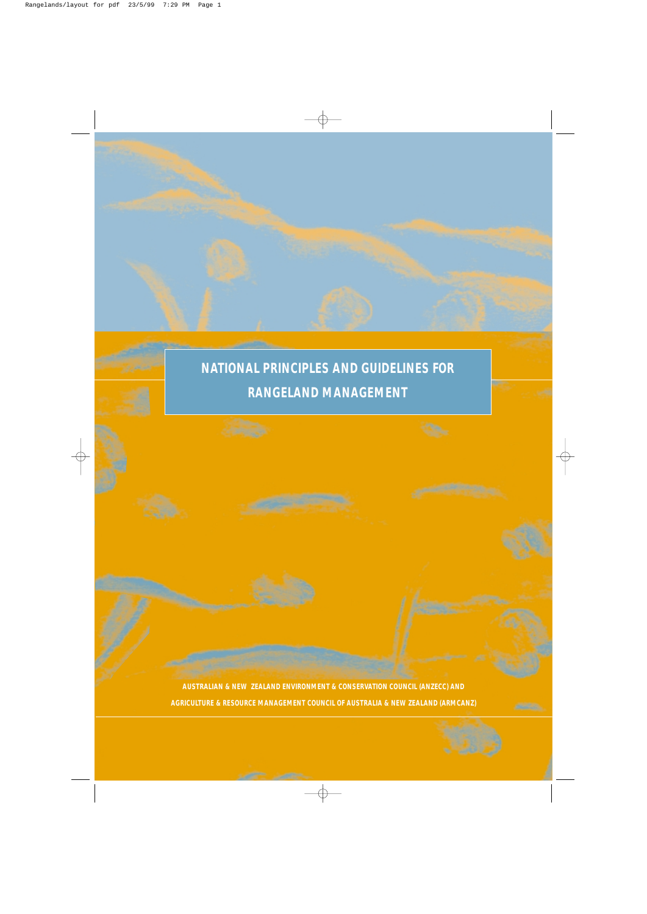# **NATIONAL PRINCIPLES AND GUIDELINES FOR RANGELAND MANAGEMENT**

**AUSTRALIAN & NEW ZEALAND ENVIRONMENT & CONSERVATION COUNCIL (ANZECC) AND AGRICULTURE & RESOURCE MANAGEMENT COUNCIL OF AUSTRALIA & NEW ZEALAND (ARMCANZ)**

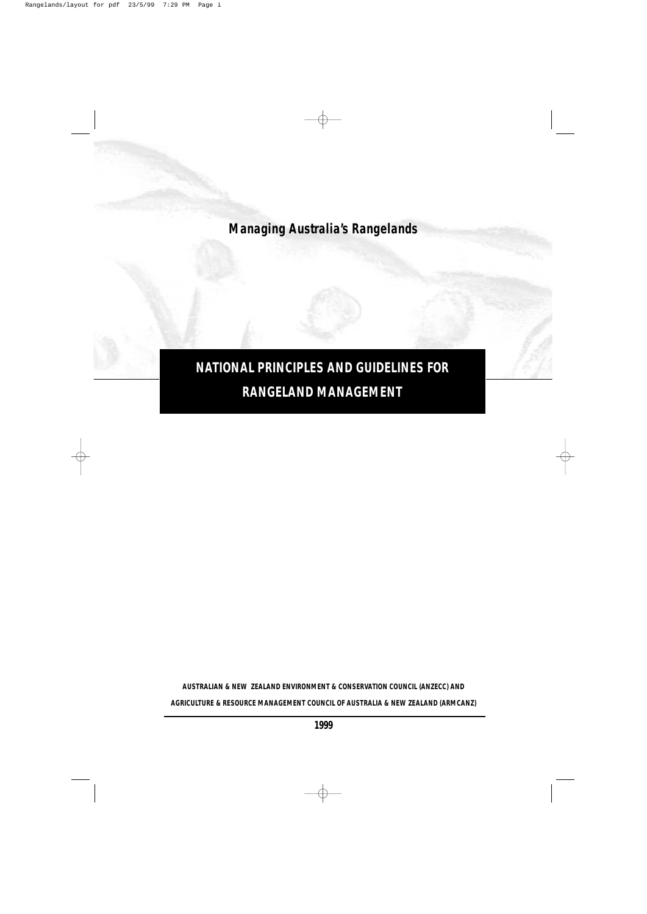**Managing Australia's Rangelands**

# **NATIONAL PRINCIPLES AND GUIDELINES FOR RANGELAND MANAGEMENT**

**AUSTRALIAN & NEW ZEALAND ENVIRONMENT & CONSERVATION COUNCIL (ANZECC) AND AGRICULTURE & RESOURCE MANAGEMENT COUNCIL OF AUSTRALIA & NEW ZEALAND (ARMCANZ)**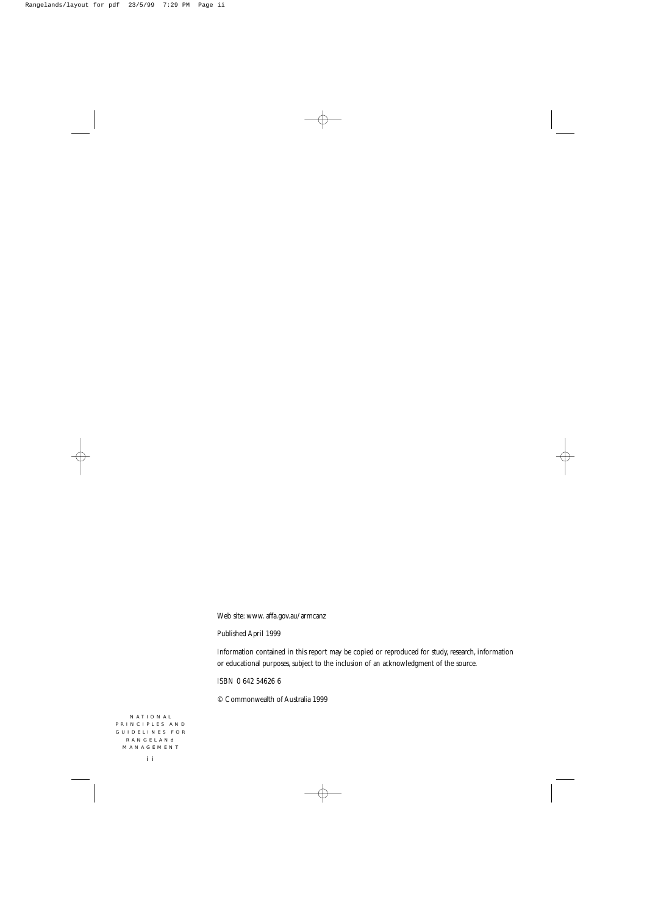Web site: www. affa.gov.au/armcanz

Published April 1999

Information contained in this report may be copied or reproduced for study, research, information or educational purposes, subject to the inclusion of an acknowledgment of the source.

ISBN 0 642 54626 6

© Commonwealth of Australia 1999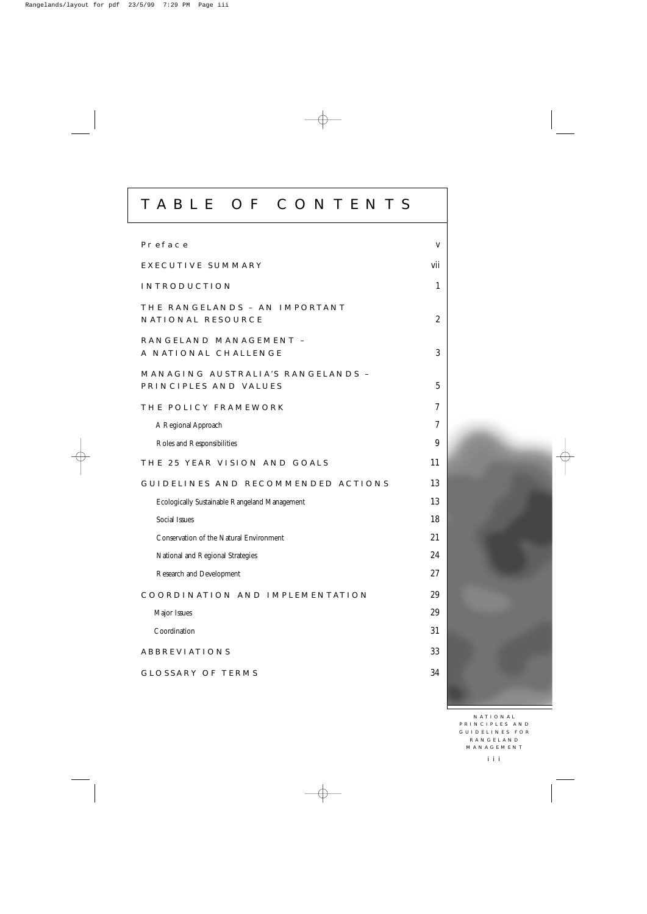# TABLE OF CONTENTS

| PREFACE                                                    | V              |  |
|------------------------------------------------------------|----------------|--|
| EXECUTIVE SUMMARY                                          | vii            |  |
| <b>INTRODUCTION</b>                                        | 1              |  |
| THE RANGELANDS - AN IMPORTANT<br>NATIONAL RESOURCE         | $\overline{2}$ |  |
| RANGELAND MANAGEMENT -<br>A NATIONAL CHALLENGE             | 3              |  |
| MANAGING AUSTRALIA'S RANGELANDS -<br>PRINCIPLES AND VALUES | 5              |  |
| THE POLICY FRAMEWORK                                       | 7              |  |
| A Regional Approach                                        | $\tau$         |  |
| Roles and Responsibilities                                 | 9              |  |
| THE 25 YEAR VISION AND GOALS                               | 11             |  |
| GUIDELINES AND RECOMMENDED ACTIONS                         | 13             |  |
| Ecologically Sustainable Rangeland Management              | 13             |  |
| <b>Social Issues</b>                                       | 18             |  |
| Conservation of the Natural Environment                    | 21             |  |
| National and Regional Strategies                           | 24             |  |
| Research and Development                                   | 27             |  |
| COORDINATION AND IMPLEMENTATION                            | 29             |  |
| Major Issues                                               | 29             |  |
| Coordination                                               | 31             |  |
| <b>ABBREVIATIONS</b>                                       |                |  |
| 34<br>GLOSSARY OF TERMS                                    |                |  |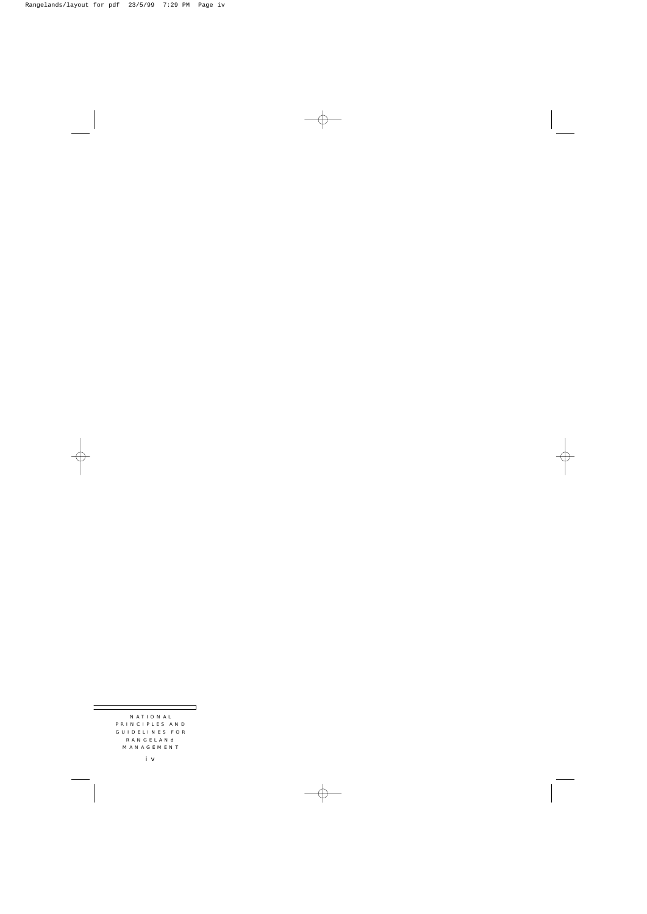NATIONAL PRINCIPLES AND GUIDELINES FOR  $\mathbb R$ A N $\mathbb G$ E L A N $\mathbb D$ MANAGEMENT

 $\overline{\phantom{0}}$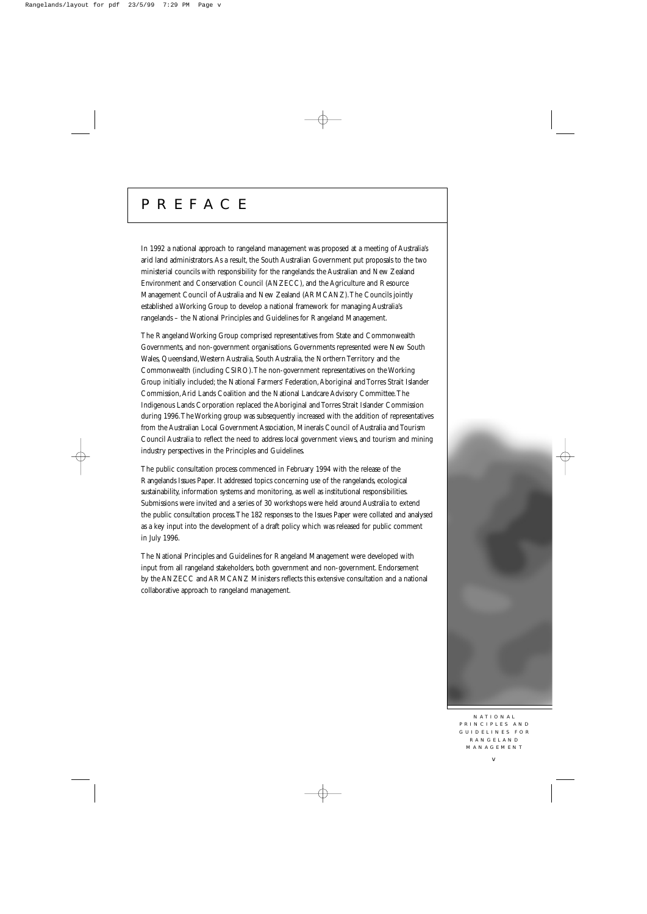# PREFACE

In 1992 a national approach to rangeland management was proposed at a meeting of Australia's arid land administrators.As a result, the South Australian Government put proposals to the two ministerial councils with responsibility for the rangelands: the Australian and New Zealand Environment and Conservation Council (ANZECC), and the Agriculture and Resource Management Council of Australia and New Zealand (ARMCANZ).The Councils jointly established a Working Group to develop a national framework for managing Australia's rangelands – the National Principles and Guidelines for Rangeland Management.

The Rangeland Working Group comprised representatives from State and Commonwealth Governments, and non-government organisations. Governments represented were New South Wales, Queensland,Western Australia, South Australia, the Northern Territory and the Commonwealth (including CSIRO).The non-government representatives on the Working Group initially included; the National Farmers' Federation, Aboriginal and Torres Strait Islander Commission,Arid Lands Coalition and the National Landcare Advisory Committee.The Indigenous Lands Corporation replaced the Aboriginal and Torres Strait Islander Commission during 1996.The Working group was subsequently increased with the addition of representatives from the Australian Local Government Association, Minerals Council of Australia and Tourism Council Australia to reflect the need to address local government views, and tourism and mining industry perspectives in the Principles and Guidelines.

The public consultation process commenced in February 1994 with the release of the Rangelands Issues Paper. It addressed topics concerning use of the rangelands, ecological sustainability, information systems and monitoring, as well as institutional responsibilities. Submissions were invited and a series of 30 workshops were held around Australia to extend the public consultation process.The 182 responses to the Issues Paper were collated and analysed as a key input into the development of a draft policy which was released for public comment in July 1996.

The National Principles and Guidelines for Rangeland Management were developed with input from all rangeland stakeholders, both government and non-government. Endorsement by the ANZECC and ARMCANZ Ministers reflects this extensive consultation and a national collaborative approach to rangeland management.

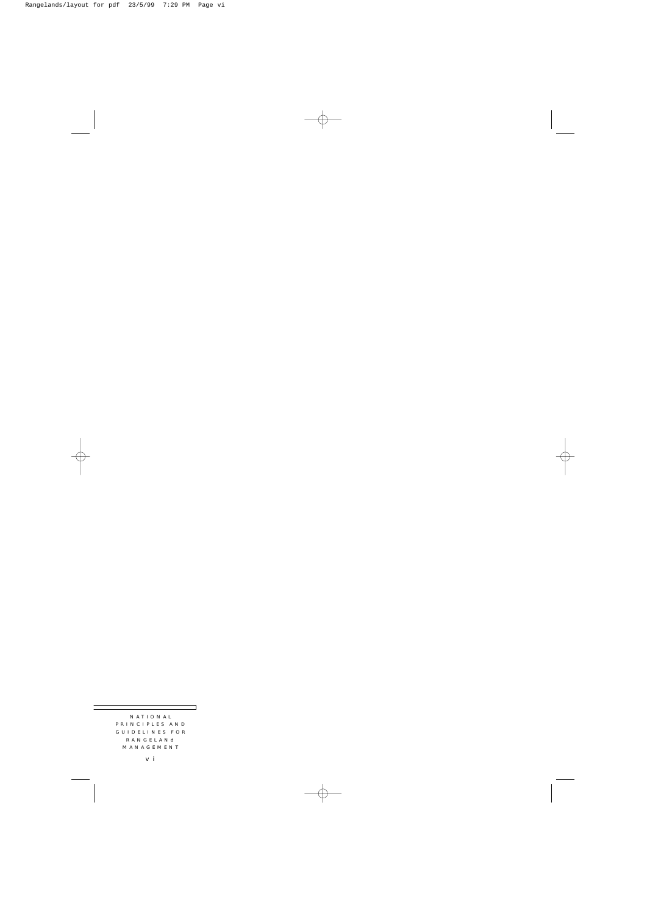NATIONAL PRINCIPLES AND GUIDELINES FOR  $\mathbb R$ A N $\mathbb G$ E L A N $\mathbb D$ MANAGEMENT

 $\overline{\phantom{0}}$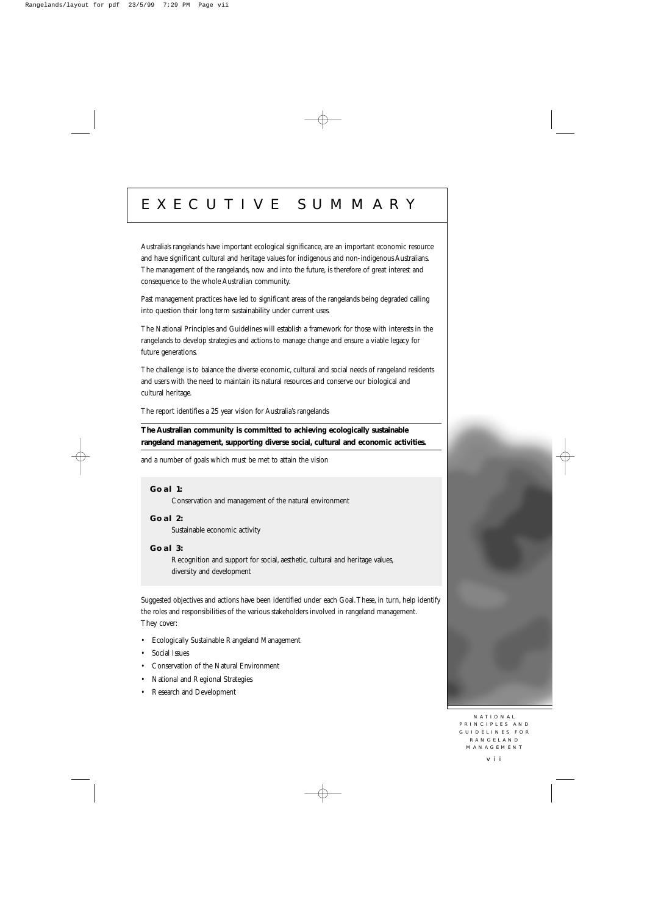# EXECUTIVE SUMMARY

Australia's rangelands have important ecological significance, are an important economic resource and have significant cultural and heritage values for indigenous and non-indigenous Australians. The management of the rangelands, now and into the future, is therefore of great interest and consequence to the whole Australian community.

Past management practices have led to significant areas of the rangelands being degraded calling into question their long term sustainability under current uses.

The National Principles and Guidelines will establish a framework for those with interests in the rangelands to develop strategies and actions to manage change and ensure a viable legacy for future generations.

The challenge is to balance the diverse economic, cultural and social needs of rangeland residents and users with the need to maintain its natural resources and conserve our biological and cultural heritage.

The report identifies a 25 year vision for Australia's rangelands

**The Australian community is committed to achieving ecologically sustainable rangeland management, supporting diverse social, cultural and economic activities.**

and a number of goals which must be met to attain the vision

## **Goal 1:**

Conservation and management of the natural environment

### **Goal 2:**

Sustainable economic activity

#### **Goal 3:**

Recognition and support for social, aesthetic, cultural and heritage values, diversity and development

Suggested objectives and actions have been identified under each Goal.These, in turn, help identify the roles and responsibilities of the various stakeholders involved in rangeland management. They cover:

- Ecologically Sustainable Rangeland Management
- Social Issues
- Conservation of the Natural Environment
- National and Regional Strategies
- Research and Development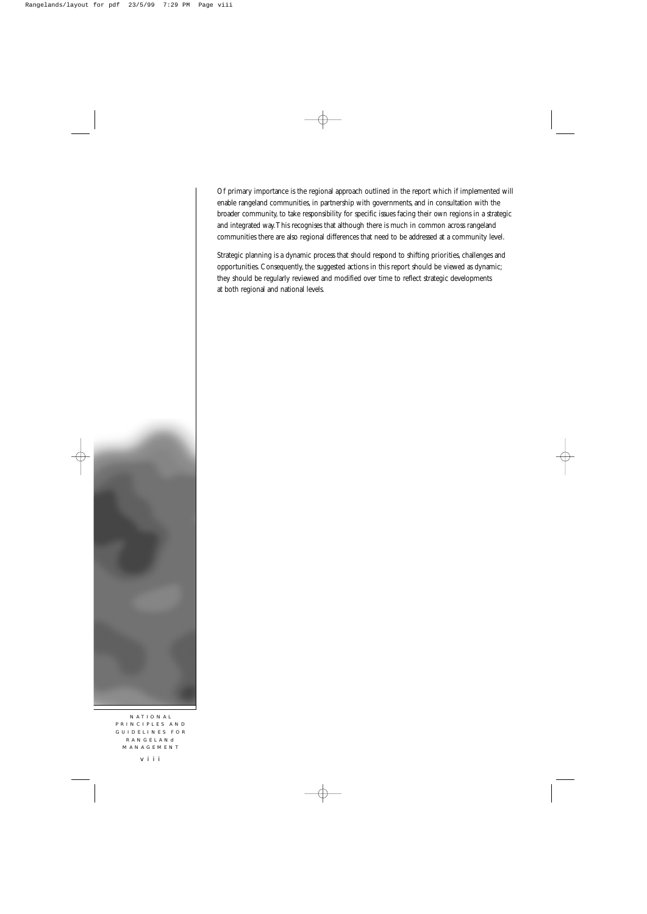Of primary importance is the regional approach outlined in the report which if implemented will enable rangeland communities, in partnership with governments, and in consultation with the broader community, to take responsibility for specific issues facing their own regions in a strategic and integrated way.This recognises that although there is much in common across rangeland communities there are also regional differences that need to be addressed at a community level.

Strategic planning is a dynamic process that should respond to shifting priorities, challenges and opportunities. Consequently, the suggested actions in this report should be viewed as dynamic; they should be regularly reviewed and modified over time to reflect strategic developments at both regional and national levels.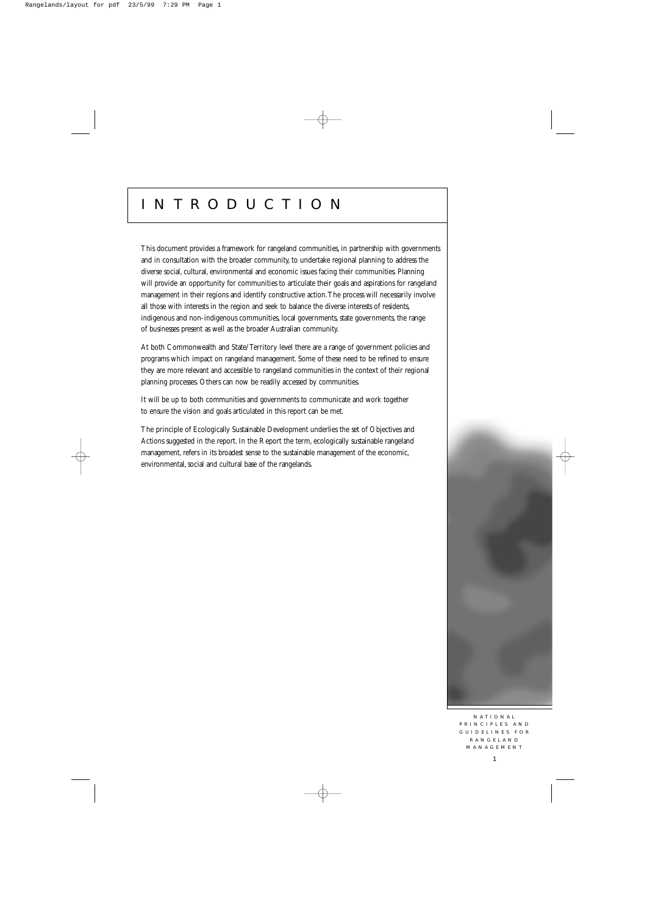# INTRODUCTION

This document provides a framework for rangeland communities, in partnership with governments and in consultation with the broader community, to undertake regional planning to address the diverse social, cultural, environmental and economic issues facing their communities. Planning will provide an opportunity for communities to articulate their goals and aspirations for rangeland management in their regions and identify constructive action.The process will necessarily involve all those with interests in the region and seek to balance the diverse interests of residents, indigenous and non-indigenous communities, local governments, state governments, the range of businesses present as well as the broader Australian community.

At both Commonwealth and State/Territory level there are a range of government policies and programs which impact on rangeland management. Some of these need to be refined to ensure they are more relevant and accessible to rangeland communities in the context of their regional planning processes. Others can now be readily accessed by communities.

It will be up to both communities and governments to communicate and work together to ensure the vision and goals articulated in this report can be met.

The principle of Ecologically Sustainable Development underlies the set of Objectives and Actions suggested in the report. In the Report the term, ecologically sustainable rangeland management, refers in its broadest sense to the sustainable management of the economic, environmental, social and cultural base of the rangelands.

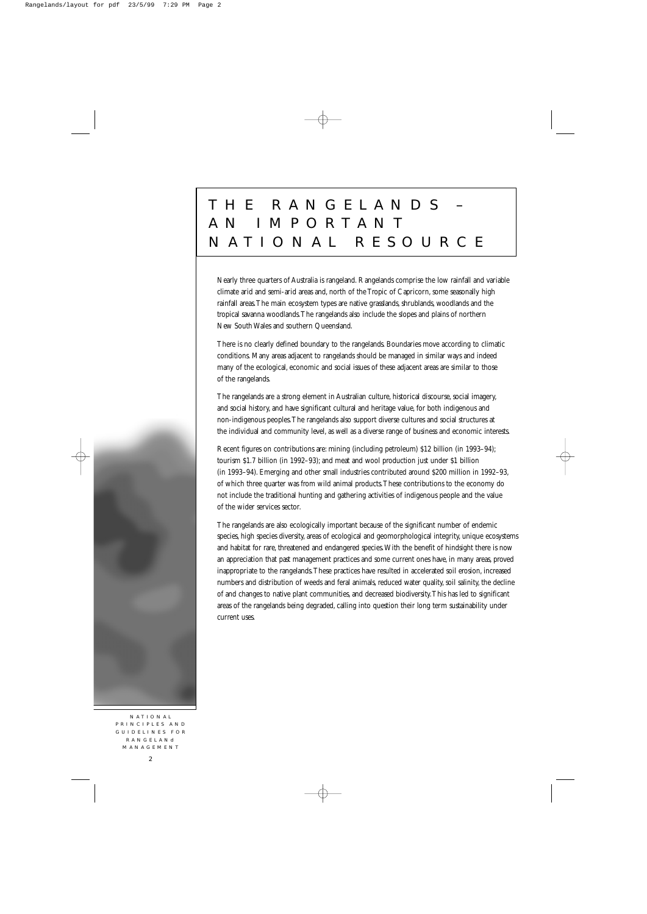# THE RANGELANDS AN IMPORTANT NATIONAL RESOURCE

Nearly three quarters of Australia is rangeland. Rangelands comprise the low rainfall and variable climate arid and semi-arid areas and, north of the Tropic of Capricorn, some seasonally high rainfall areas.The main ecosystem types are native grasslands, shrublands, woodlands and the tropical savanna woodlands.The rangelands also include the slopes and plains of northern New South Wales and southern Queensland.

There is no clearly defined boundary to the rangelands. Boundaries move according to climatic conditions. Many areas adjacent to rangelands should be managed in similar ways and indeed many of the ecological, economic and social issues of these adjacent areas are similar to those of the rangelands.

The rangelands are a strong element in Australian culture, historical discourse, social imagery, and social history, and have significant cultural and heritage value, for both indigenous and non-indigenous peoples.The rangelands also support diverse cultures and social structures at the individual and community level, as well as a diverse range of business and economic interests.

Recent figures on contributions are: mining (including petroleum) \$12 billion (in 1993–94); tourism \$1.7 billion (in 1992–93); and meat and wool production just under \$1 billion (in 1993–94). Emerging and other small industries contributed around \$200 million in 1992–93, of which three quarter was from wild animal products.These contributions to the economy do not include the traditional hunting and gathering activities of indigenous people and the value of the wider services sector.

The rangelands are also ecologically important because of the significant number of endemic species, high species diversity, areas of ecological and geomorphological integrity, unique ecosystems and habitat for rare, threatened and endangered species.With the benefit of hindsight there is now an appreciation that past management practices and some current ones have, in many areas, proved inappropriate to the rangelands.These practices have resulted in accelerated soil erosion, increased numbers and distribution of weeds and feral animals, reduced water quality, soil salinity, the decline of and changes to native plant communities, and decreased biodiversity.This has led to significant areas of the rangelands being degraded, calling into question their long term sustainability under current uses.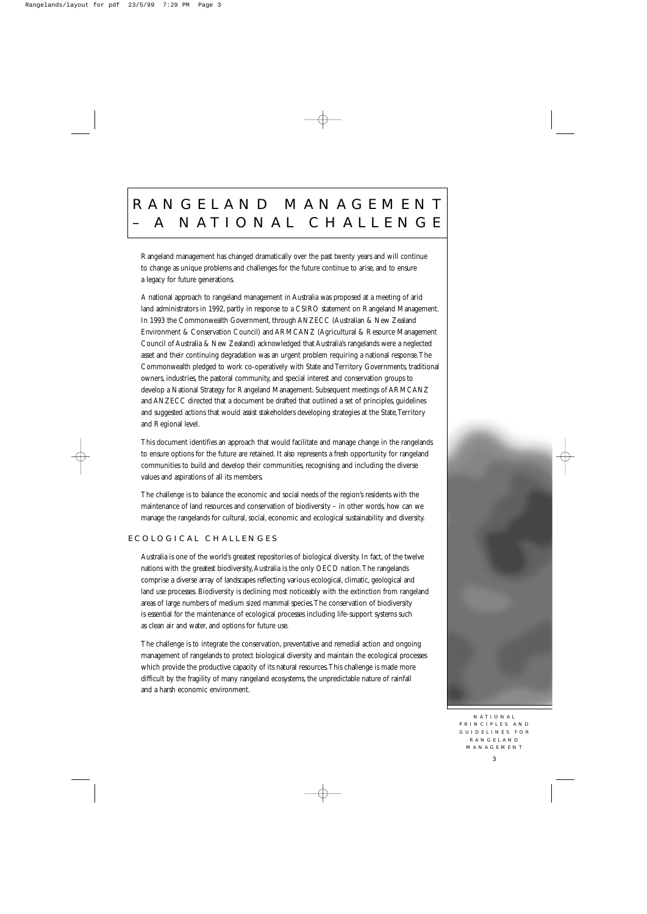# RANGELAND MANAGEMENT – A NATIONAL CHALLENGE

Rangeland management has changed dramatically over the past twenty years and will continue to change as unique problems and challenges for the future continue to arise, and to ensure a legacy for future generations.

A national approach to rangeland management in Australia was proposed at a meeting of arid land administrators in 1992, partly in response to a CSIRO statement on Rangeland Management. In 1993 the Commonwealth Government, through ANZECC (Australian & New Zealand Environment & Conservation Council) and ARMCANZ (Agricultural & Resource Management Council of Australia & New Zealand) acknowledged that Australia's rangelands were a neglected asset and their continuing degradation was an urgent problem requiring a national response.The Commonwealth pledged to work co-operatively with State and Territory Governments, traditional owners, industries, the pastoral community, and special interest and conservation groups to develop a National Strategy for Rangeland Management. Subsequent meetings of ARMCANZ and ANZECC directed that a document be drafted that outlined a set of principles, guidelines and suggested actions that would assist stakeholders developing strategies at the State,Territory and Regional level.

This document identifies an approach that would facilitate and manage change in the rangelands to ensure options for the future are retained. It also represents a fresh opportunity for rangeland communities to build and develop their communities, recognising and including the diverse values and aspirations of all its members.

The challenge is to balance the economic and social needs of the region's residents with the maintenance of land resources and conservation of biodiversity – in other words, how can we manage the rangelands for cultural, social, economic and ecological sustainability and diversity.

### ECOLOGICAL CHALLENGES

Australia is one of the world's greatest repositories of biological diversity. In fact, of the twelve nations with the greatest biodiversity, Australia is the only OECD nation. The rangelands comprise a diverse array of landscapes reflecting various ecological, climatic, geological and land use processes. Biodiversity is declining most noticeably with the extinction from rangeland areas of large numbers of medium sized mammal species.The conservation of biodiversity is essential for the maintenance of ecological processes including life-support systems such as clean air and water, and options for future use.

The challenge is to integrate the conservation, preventative and remedial action and ongoing management of rangelands to protect biological diversity and maintain the ecological processes which provide the productive capacity of its natural resources.This challenge is made more difficult by the fragility of many rangeland ecosystems, the unpredictable nature of rainfall and a harsh economic environment.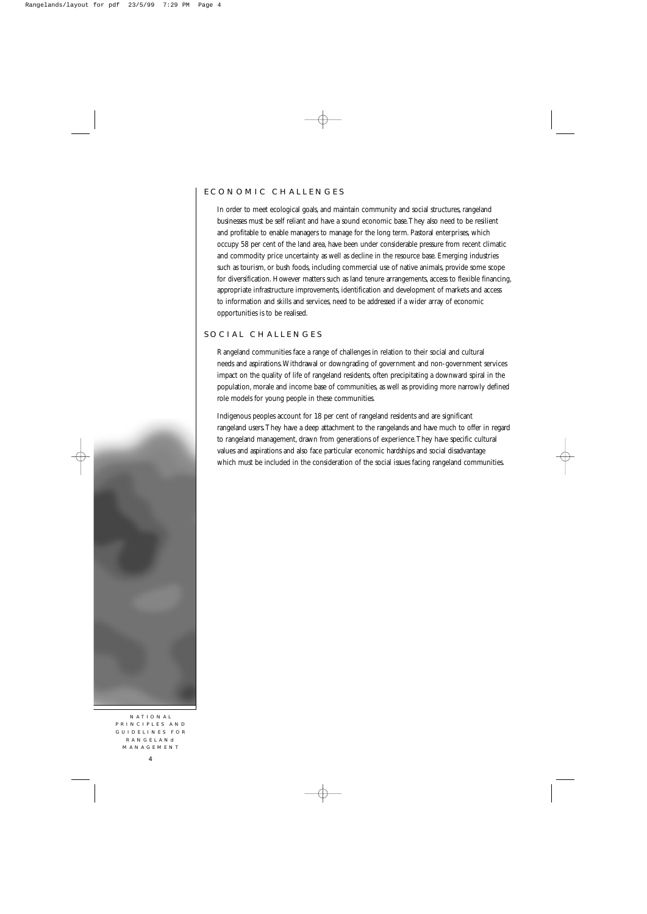## ECONOMIC CHALLENGES

In order to meet ecological goals, and maintain community and social structures, rangeland businesses must be self reliant and have a sound economic base.They also need to be resilient and profitable to enable managers to manage for the long term. Pastoral enterprises, which occupy 58 per cent of the land area, have been under considerable pressure from recent climatic and commodity price uncertainty as well as decline in the resource base. Emerging industries such as tourism, or bush foods, including commercial use of native animals, provide some scope for diversification. However matters such as land tenure arrangements, access to flexible financing, appropriate infrastructure improvements, identification and development of markets and access to information and skills and services, need to be addressed if a wider array of economic opportunities is to be realised.

## SOCIAL CHALLENGES

Rangeland communities face a range of challenges in relation to their social and cultural needs and aspirations.Withdrawal or downgrading of government and non-government services impact on the quality of life of rangeland residents, often precipitating a downward spiral in the population, morale and income base of communities, as well as providing more narrowly defined role models for young people in these communities.

Indigenous peoples account for 18 per cent of rangeland residents and are significant rangeland users.They have a deep attachment to the rangelands and have much to offer in regard to rangeland management, drawn from generations of experience.They have specific cultural values and aspirations and also face particular economic hardships and social disadvantage which must be included in the consideration of the social issues facing rangeland communities.

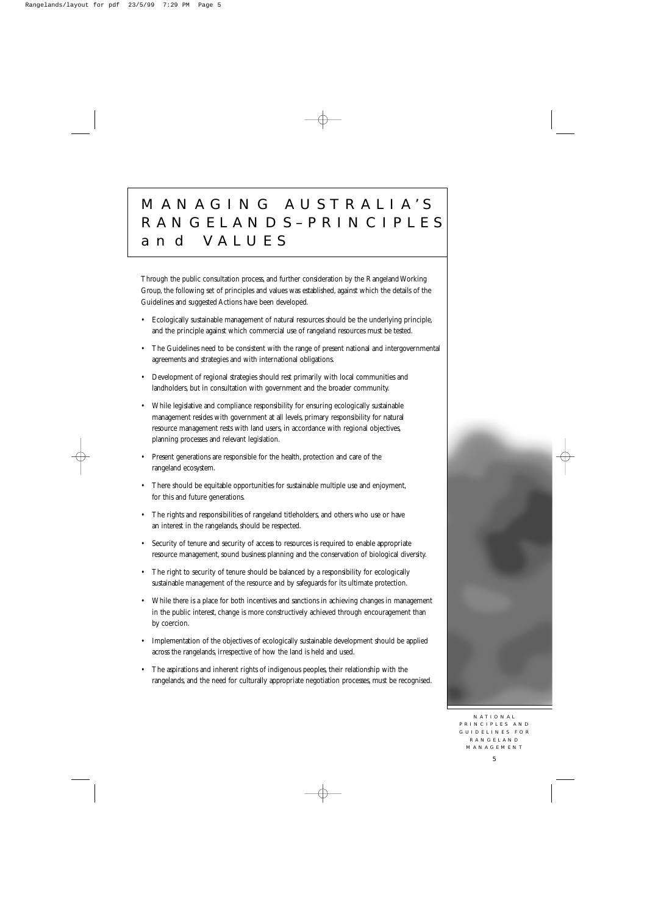# MANAGING AUSTRALIA'S RANGELANDS–PRINCIPLES and VALUES

Through the public consultation process, and further consideration by the Rangeland Working Group, the following set of principles and values was established, against which the details of the Guidelines and suggested Actions have been developed.

- Ecologically sustainable management of natural resources should be the underlying principle, and the principle against which commercial use of rangeland resources must be tested.
- The Guidelines need to be consistent with the range of present national and intergovernmental agreements and strategies and with international obligations.
- Development of regional strategies should rest primarily with local communities and landholders, but in consultation with government and the broader community.
- While legislative and compliance responsibility for ensuring ecologically sustainable management resides with government at all levels, primary responsibility for natural resource management rests with land users, in accordance with regional objectives, planning processes and relevant legislation.
- Present generations are responsible for the health, protection and care of the rangeland ecosystem.
- There should be equitable opportunities for sustainable multiple use and enjoyment, for this and future generations.
- The rights and responsibilities of rangeland titleholders, and others who use or have an interest in the rangelands, should be respected.
- Security of tenure and security of access to resources is required to enable appropriate resource management, sound business planning and the conservation of biological diversity.
- The right to security of tenure should be balanced by a responsibility for ecologically sustainable management of the resource and by safeguards for its ultimate protection.
- While there is a place for both incentives and sanctions in achieving changes in management in the public interest, change is more constructively achieved through encouragement than by coercion.
- Implementation of the objectives of ecologically sustainable development should be applied across the rangelands, irrespective of how the land is held and used.
- The aspirations and inherent rights of indigenous peoples, their relationship with the rangelands, and the need for culturally appropriate negotiation processes, must be recognised.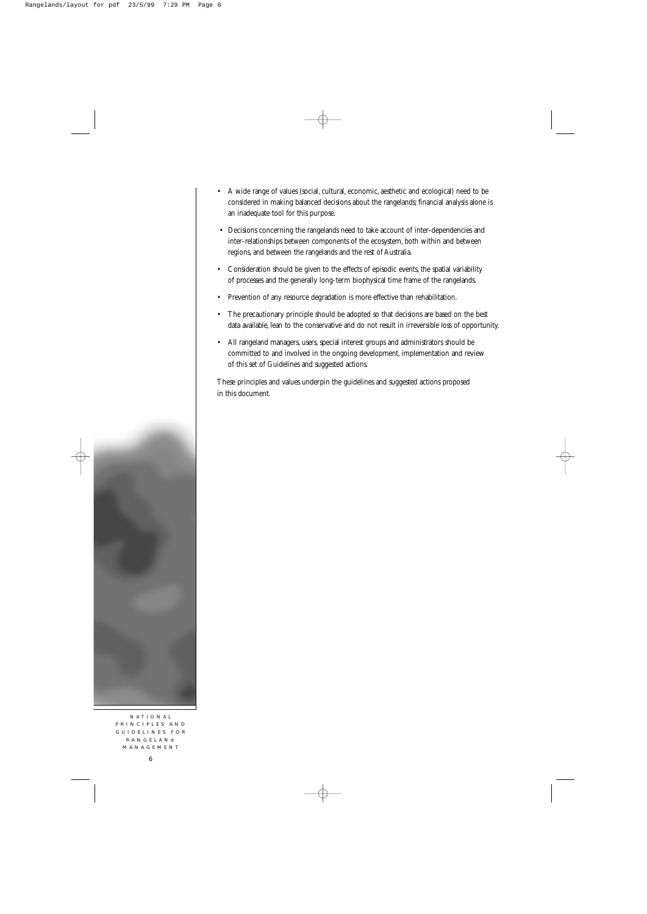- A wide range of values (social, cultural, economic, aesthetic and ecological) need to be considered in making balanced decisions about the rangelands; financial analysis alone is an inadequate tool for this purpose.
- Decisions concerning the rangelands need to take account of inter-dependencies and inter-relationships between components of the ecosystem, both within and between regions, and between the rangelands and the rest of Australia.
- Consideration should be given to the effects of episodic events, the spatial variability of processes and the generally long-term biophysical time frame of the rangelands.
- Prevention of any resource degradation is more effective than rehabilitation.
- The precautionary principle should be adopted so that decisions are based on the best data available, lean to the conservative and do not result in irreversible loss of opportunity.
- All rangeland managers, users, special interest groups and administrators should be committed to and involved in the ongoing development, implementation and review of this set of Guidelines and suggested actions.

These principles and values underpin the guidelines and suggested actions proposed in this document.

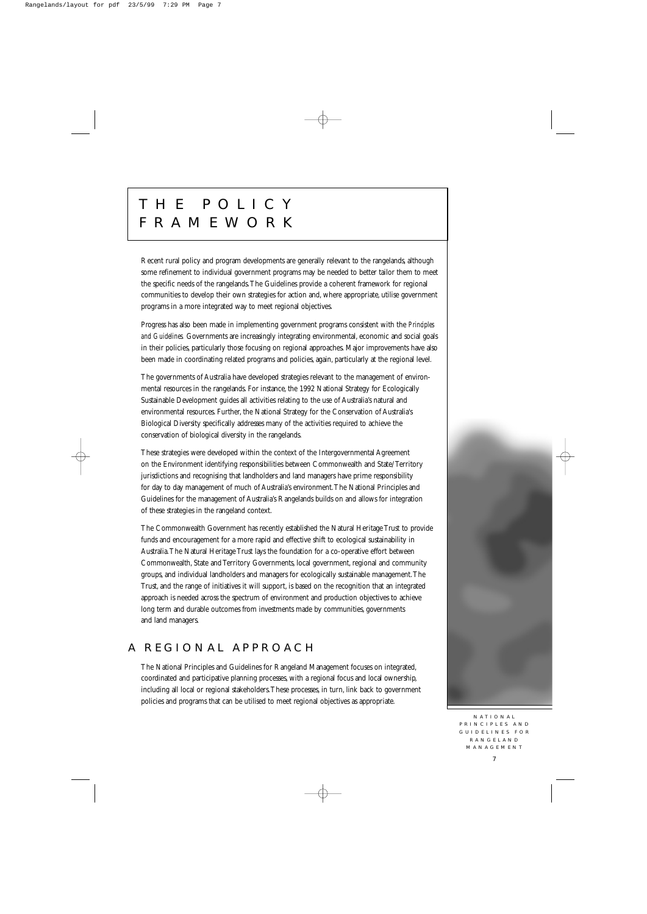# THE POLICY FRAMEWORK

Recent rural policy and program developments are generally relevant to the rangelands, although some refinement to individual government programs may be needed to better tailor them to meet the specific needs of the rangelands.The Guidelines provide a coherent framework for regional communities to develop their own strategies for action and, where appropriate, utilise government programs in a more integrated way to meet regional objectives.

Progress has also been made in implementing government programs consistent with the *Principles and Guidelines.* Governments are increasingly integrating environmental, economic and social goals in their policies, particularly those focusing on regional approaches. Major improvements have also been made in coordinating related programs and policies, again, particularly at the regional level.

The governments of Australia have developed strategies relevant to the management of environmental resources in the rangelands. For instance, the 1992 National Strategy for Ecologically Sustainable Development guides all activities relating to the use of Australia's natural and environmental resources. Further, the National Strategy for the Conservation of Australia's Biological Diversity specifically addresses many of the activities required to achieve the conservation of biological diversity in the rangelands.

These strategies were developed within the context of the Intergovernmental Agreement on the Environment identifying responsibilities between Commonwealth and State/Territory jurisdictions and recognising that landholders and land managers have prime responsibility for day to day management of much of Australia's environment.The National Principles and Guidelines for the management of Australia's Rangelands builds on and allows for integration of these strategies in the rangeland context.

The Commonwealth Government has recently established the Natural Heritage Trust to provide funds and encouragement for a more rapid and effective shift to ecological sustainability in Australia.The Natural Heritage Trust lays the foundation for a co-operative effort between Commonwealth, State and Territory Governments, local government, regional and community groups, and individual landholders and managers for ecologically sustainable management.The Trust, and the range of initiatives it will support, is based on the recognition that an integrated approach is needed across the spectrum of environment and production objectives to achieve long term and durable outcomes from investments made by communities, governments and land managers.

# A REGIONAL APPROACH

The National Principles and Guidelines for Rangeland Management focuses on integrated, coordinated and participative planning processes, with a regional focus and local ownership, including all local or regional stakeholders.These processes, in turn, link back to government policies and programs that can be utilised to meet regional objectives as appropriate.

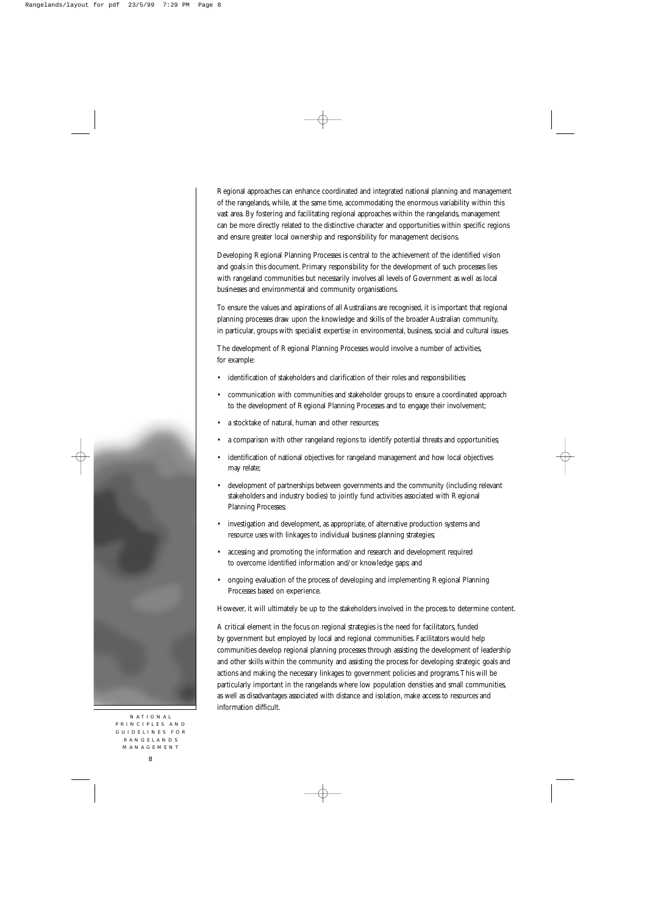Regional approaches can enhance coordinated and integrated national planning and management of the rangelands, while, at the same time, accommodating the enormous variability within this vast area. By fostering and facilitating regional approaches within the rangelands, management can be more directly related to the distinctive character and opportunities within specific regions and ensure greater local ownership and responsibility for management decisions.

Developing Regional Planning Processes is central to the achievement of the identified vision and goals in this document. Primary responsibility for the development of such processes lies with rangeland communities but necessarily involves all levels of Government as well as local businesses and environmental and community organisations.

To ensure the values and aspirations of all Australians are recognised, it is important that regional planning processes draw upon the knowledge and skills of the broader Australian community, in particular, groups with specialist expertise in environmental, business, social and cultural issues.

The development of Regional Planning Processes would involve a number of activities, for example:

- identification of stakeholders and clarification of their roles and responsibilities;
- communication with communities and stakeholder groups to ensure a coordinated approach to the development of Regional Planning Processes and to engage their involvement;
- a stocktake of natural, human and other resources;
- a comparison with other rangeland regions to identify potential threats and opportunities;
- identification of national objectives for rangeland management and how local objectives may relate;
- development of partnerships between governments and the community (including relevant stakeholders and industry bodies) to jointly fund activities associated with Regional Planning Processes;
- investigation and development, as appropriate, of alternative production systems and resource uses with linkages to individual business planning strategies;
- accessing and promoting the information and research and development required to overcome identified information and/or knowledge gaps; and
- ongoing evaluation of the process of developing and implementing Regional Planning Processes based on experience.

However, it will ultimately be up to the stakeholders involved in the process to determine content.

A critical element in the focus on regional strategies is the need for facilitators, funded by government but employed by local and regional communities. Facilitators would help communities develop regional planning processes through assisting the development of leadership and other skills within the community and assisting the process for developing strategic goals and actions and making the necessary linkages to government policies and programs.This will be particularly important in the rangelands where low population densities and small communities, as well as disadvantages associated with distance and isolation, make access to resources and information difficult.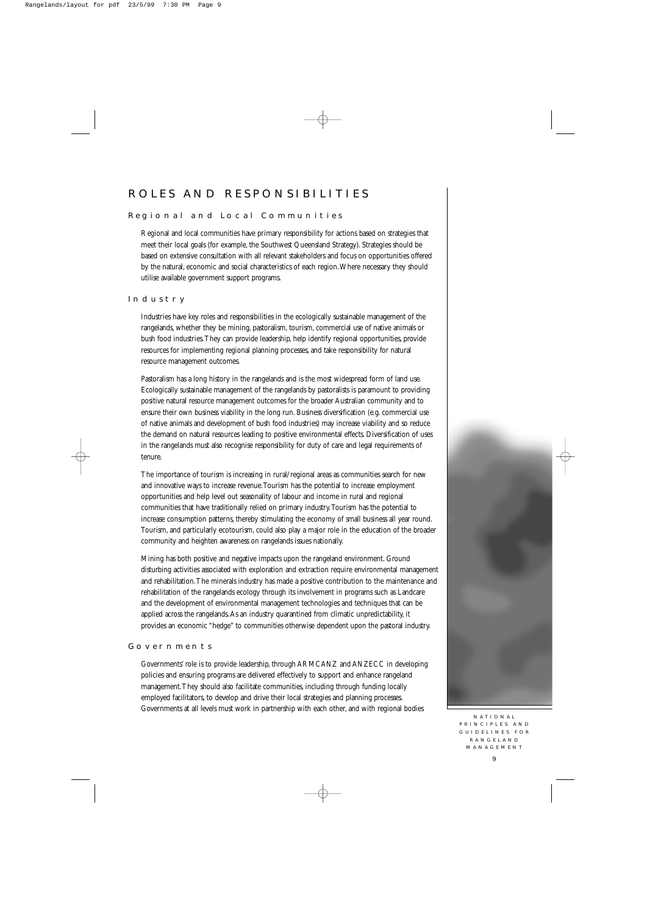# ROLES AND RESPONSIBILITIES

## Regional and Local Communities

Regional and local communities have primary responsibility for actions based on strategies that meet their local goals (for example, the Southwest Queensland Strategy). Strategies should be based on extensive consultation with all relevant stakeholders and focus on opportunities offered by the natural, economic and social characteristics of each region.Where necessary they should utilise available government support programs.

### **INDUSTRY**

Industries have key roles and responsibilities in the ecologically sustainable management of the rangelands, whether they be mining, pastoralism, tourism, commercial use of native animals or bush food industries.They can provide leadership, help identify regional opportunities, provide resources for implementing regional planning processes, and take responsibility for natural resource management outcomes.

Pastoralism has a long history in the rangelands and is the most widespread form of land use. Ecologically sustainable management of the rangelands by pastoralists is paramount to providing positive natural resource management outcomes for the broader Australian community and to ensure their own business viability in the long run. Business diversification (e.g. commercial use of native animals and development of bush food industries) may increase viability and so reduce the demand on natural resources leading to positive environmental effects. Diversification of uses in the rangelands must also recognise responsibility for duty of care and legal requirements of tenure.

The importance of tourism is increasing in rural/regional areas as communities search for new and innovative ways to increase revenue.Tourism has the potential to increase employment opportunities and help level out seasonality of labour and income in rural and regional communities that have traditionally relied on primary industry.Tourism has the potential to increase consumption patterns, thereby stimulating the economy of small business all year round. Tourism, and particularly ecotourism, could also play a major role in the education of the broader community and heighten awareness on rangelands issues nationally.

Mining has both positive and negative impacts upon the rangeland environment. Ground disturbing activities associated with exploration and extraction require environmental management and rehabilitation.The minerals industry has made a positive contribution to the maintenance and rehabilitation of the rangelands ecology through its involvement in programs such as Landcare and the development of environmental management technologies and techniques that can be applied across the rangelands. As an industry quarantined from climatic unpredictability, it provides an economic "hedge" to communities otherwise dependent upon the pastoral industry.

## **GOVERNMENTS**

Governments' role is to provide leadership, through ARMCANZ and ANZECC in developing policies and ensuring programs are delivered effectively to support and enhance rangeland management.They should also facilitate communities, including through funding locally employed facilitators, to develop and drive their local strategies and planning processes. Governments at all levels must work in partnership with each other, and with regional bodies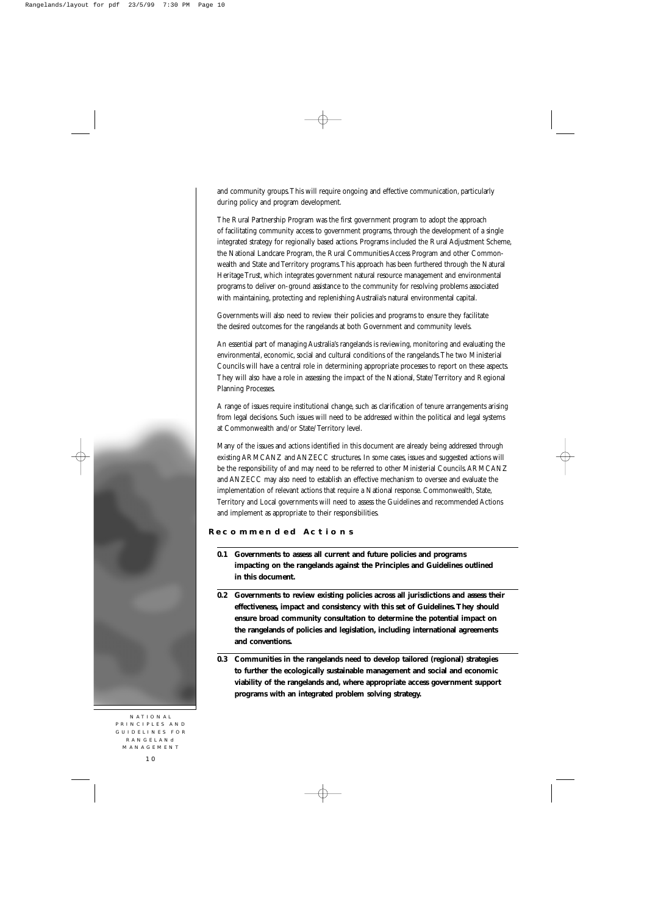and community groups.This will require ongoing and effective communication, particularly during policy and program development.

The Rural Partnership Program was the first government program to adopt the approach of facilitating community access to government programs, through the development of a single integrated strategy for regionally based actions. Programs included the Rural Adjustment Scheme, the National Landcare Program, the Rural Communities Access Program and other Commonwealth and State and Territory programs.This approach has been furthered through the Natural Heritage Trust, which integrates government natural resource management and environmental programs to deliver on-ground assistance to the community for resolving problems associated with maintaining, protecting and replenishing Australia's natural environmental capital.

Governments will also need to review their policies and programs to ensure they facilitate the desired outcomes for the rangelands at both Government and community levels.

An essential part of managing Australia's rangelands is reviewing, monitoring and evaluating the environmental, economic, social and cultural conditions of the rangelands.The two Ministerial Councils will have a central role in determining appropriate processes to report on these aspects. They will also have a role in assessing the impact of the National, State/Territory and Regional Planning Processes.

A range of issues require institutional change, such as clarification of tenure arrangements arising from legal decisions. Such issues will need to be addressed within the political and legal systems at Commonwealth and/or State/Territory level.

Many of the issues and actions identified in this document are already being addressed through existing ARMCANZ and ANZECC structures. In some cases, issues and suggested actions will be the responsibility of and may need to be referred to other Ministerial Councils.ARMCANZ and ANZECC may also need to establish an effective mechanism to oversee and evaluate the implementation of relevant actions that require a National response. Commonwealth, State, Territory and Local governments will need to assess the Guidelines and recommended Actions and implement as appropriate to their responsibilities.

## **Recommended Actions**

- **0.1 Governments to assess all current and future policies and programs impacting on the rangelands against the Principles and Guidelines outlined in this document.**
- **0.2 Governments to review existing policies across all jurisdictions and assess their effectiveness, impact and consistency with this set of Guidelines.They should ensure broad community consultation to determine the potential impact on the rangelands of policies and legislation, including international agreements and conventions.**
- **0.3 Communities in the rangelands need to develop tailored (regional) strategies to further the ecologically sustainable management and social and economic viability of the rangelands and, where appropriate access government support programs with an integrated problem solving strategy.**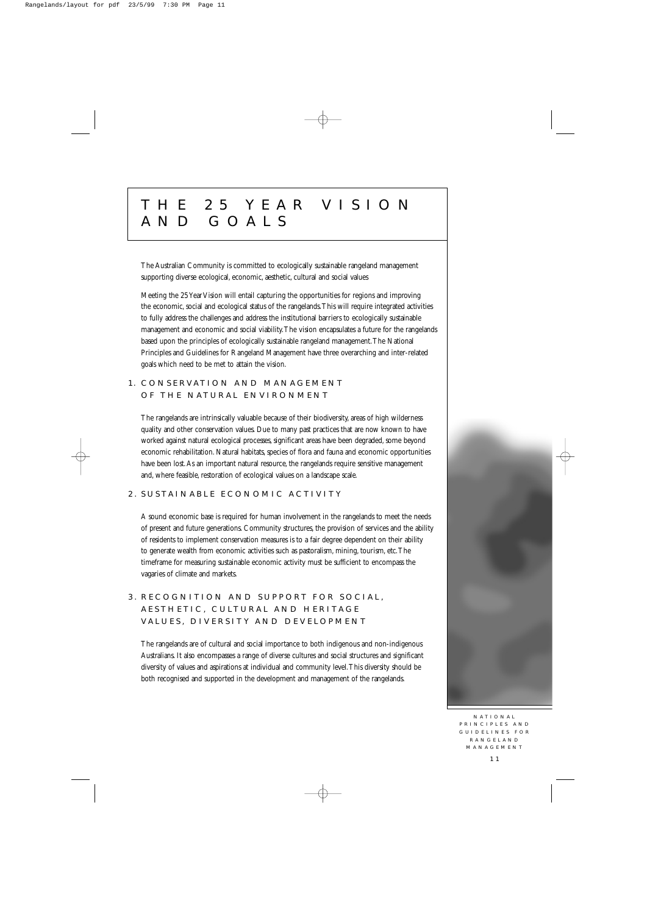# THE 25 YEAR VISION AND GOALS

The Australian Community is committed to ecologically sustainable rangeland management supporting diverse ecological, economic, aesthetic, cultural and social values

Meeting the 25 Year Vision will entail capturing the opportunities for regions and improving the economic, social and ecological status of the rangelands.This will require integrated activities to fully address the challenges and address the institutional barriers to ecologically sustainable management and economic and social viability.The vision encapsulates a future for the rangelands based upon the principles of ecologically sustainable rangeland management.The National Principles and Guidelines for Rangeland Management have three overarching and inter-related goals which need to be met to attain the vision.

## 1. CONSERVATION AND MANAGEMENT OF THE NATURAL ENVIRONMENT

The rangelands are intrinsically valuable because of their biodiversity, areas of high wilderness quality and other conservation values. Due to many past practices that are now known to have worked against natural ecological processes, significant areas have been degraded, some beyond economic rehabilitation. Natural habitats, species of flora and fauna and economic opportunities have been lost.As an important natural resource, the rangelands require sensitive management and, where feasible, restoration of ecological values on a landscape scale.

## 2. SUSTAINABLE ECONOMIC ACTIVITY

A sound economic base is required for human involvement in the rangelands to meet the needs of present and future generations. Community structures, the provision of services and the ability of residents to implement conservation measures is to a fair degree dependent on their ability to generate wealth from economic activities such as pastoralism, mining, tourism, etc.The timeframe for measuring sustainable economic activity must be sufficient to encompass the vagaries of climate and markets.

# 3. RECOGNITION AND SUPPORT FOR SOCIAL, AESTHETIC, CULTURAL AND HERITAGE VALUES, DIVERSITY AND DEVELOPMENT

The rangelands are of cultural and social importance to both indigenous and non-indigenous Australians. It also encompasses a range of diverse cultures and social structures and significant diversity of values and aspirations at individual and community level.This diversity should be both recognised and supported in the development and management of the rangelands.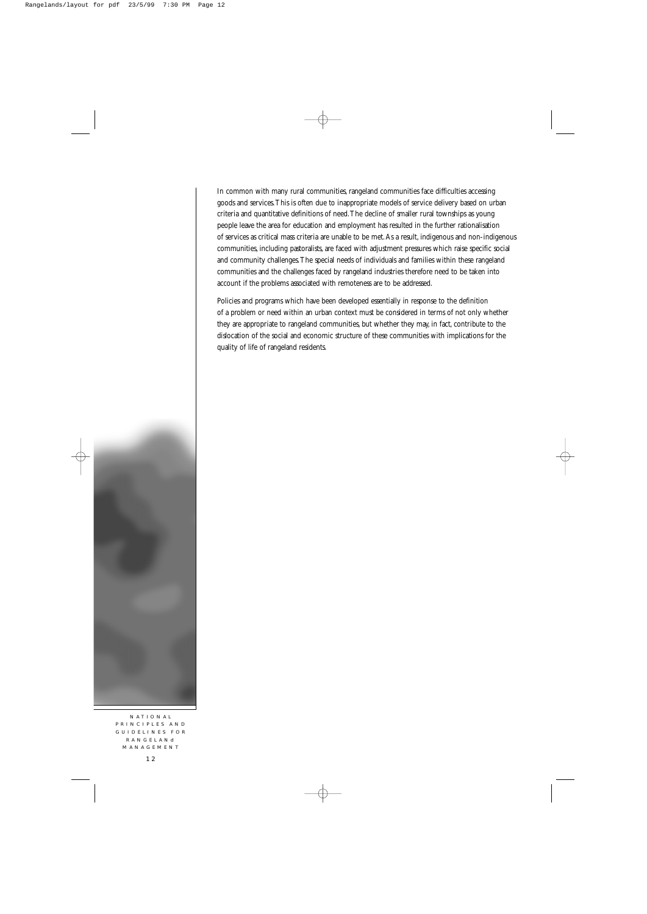In common with many rural communities, rangeland communities face difficulties accessing goods and services.This is often due to inappropriate models of service delivery based on urban criteria and quantitative definitions of need.The decline of smaller rural townships as young people leave the area for education and employment has resulted in the further rationalisation of services as critical mass criteria are unable to be met.As a result, indigenous and non-indigenous communities, including pastoralists, are faced with adjustment pressures which raise specific social and community challenges.The special needs of individuals and families within these rangeland communities and the challenges faced by rangeland industries therefore need to be taken into account if the problems associated with remoteness are to be addressed.

Policies and programs which have been developed essentially in response to the definition of a problem or need within an urban context must be considered in terms of not only whether they are appropriate to rangeland communities, but whether they may, in fact, contribute to the dislocation of the social and economic structure of these communities with implications for the quality of life of rangeland residents.

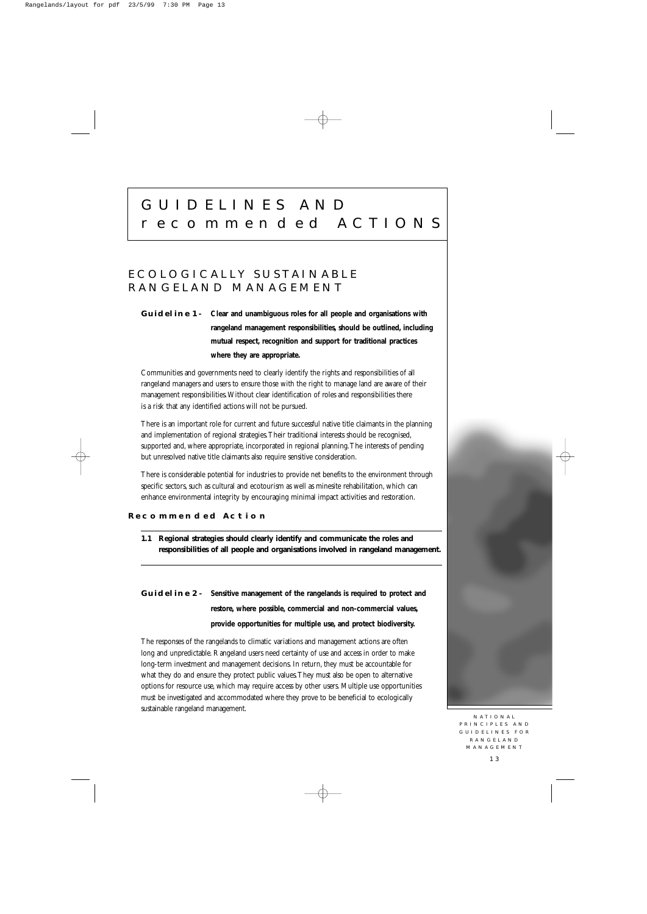# GUIDELINES AND recommended ACTIONS

# ECOLOGICALLY SUSTAINABLE RANGELAND MANAGEMENT

# GUIDELINE 1 - Clear and unambiguous roles for all people and organisations with **rangeland management responsibilities, should be outlined, including mutual respect, recognition and support for traditional practices where they are appropriate.**

Communities and governments need to clearly identify the rights and responsibilities of all rangeland managers and users to ensure those with the right to manage land are aware of their management responsibilities.Without clear identification of roles and responsibilities there is a risk that any identified actions will not be pursued.

There is an important role for current and future successful native title claimants in the planning and implementation of regional strategies.Their traditional interests should be recognised, supported and, where appropriate, incorporated in regional planning. The interests of pending but unresolved native title claimants also require sensitive consideration.

There is considerable potential for industries to provide net benefits to the environment through specific sectors, such as cultural and ecotourism as well as minesite rehabilitation, which can enhance environmental integrity by encouraging minimal impact activities and restoration.

## **Recommended Action**

**1.1 Regional strategies should clearly identify and communicate the roles and responsibilities of all people and organisations involved in rangeland management.**

# **GUIDELINE 2 -** Sensitive management of the rangelands is required to protect and **restore, where possible, commercial and non-commercial values, provide opportunities for multiple use, and protect biodiversity.**

The responses of the rangelands to climatic variations and management actions are often long and unpredictable. Rangeland users need certainty of use and access in order to make long-term investment and management decisions. In return, they must be accountable for what they do and ensure they protect public values.They must also be open to alternative options for resource use, which may require access by other users. Multiple use opportunities must be investigated and accommodated where they prove to be beneficial to ecologically sustainable rangeland management.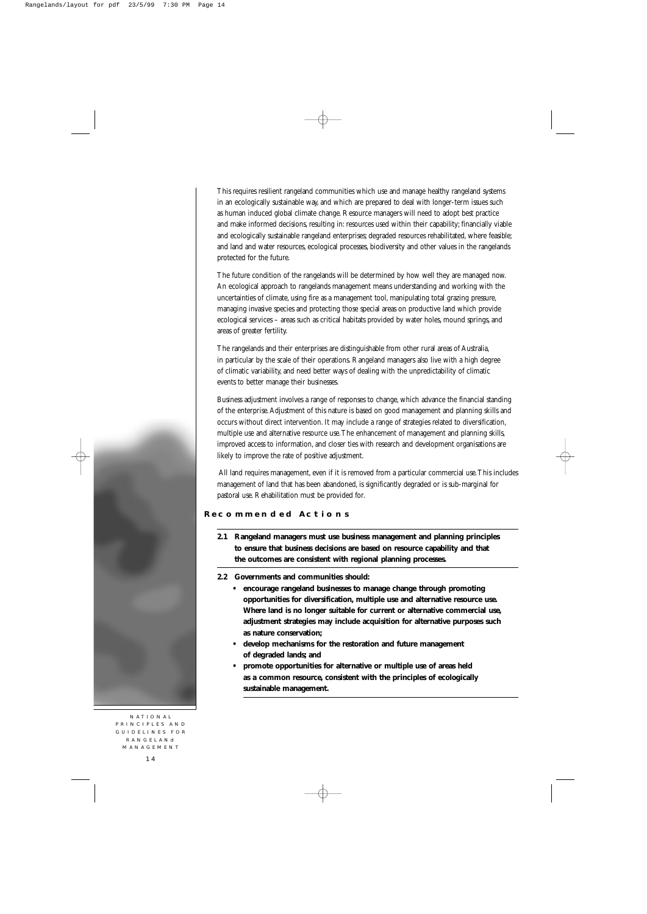This requires resilient rangeland communities which use and manage healthy rangeland systems in an ecologically sustainable way, and which are prepared to deal with longer-term issues such as human induced global climate change. Resource managers will need to adopt best practice and make informed decisions, resulting in: resources used within their capability; financially viable and ecologically sustainable rangeland enterprises; degraded resources rehabilitated, where feasible; and land and water resources, ecological processes, biodiversity and other values in the rangelands protected for the future.

The future condition of the rangelands will be determined by how well they are managed now. An ecological approach to rangelands management means understanding and working with the uncertainties of climate, using fire as a management tool, manipulating total grazing pressure, managing invasive species and protecting those special areas on productive land which provide ecological services – areas such as critical habitats provided by water holes, mound springs, and areas of greater fertility.

The rangelands and their enterprises are distinguishable from other rural areas of Australia, in particular by the scale of their operations. Rangeland managers also live with a high degree of climatic variability, and need better ways of dealing with the unpredictability of climatic events to better manage their businesses.

Business adjustment involves a range of responses to change, which advance the financial standing of the enterprise.Adjustment of this nature is based on good management and planning skills and occurs without direct intervention. It may include a range of strategies related to diversification, multiple use and alternative resource use.The enhancement of management and planning skills, improved access to information, and closer ties with research and development organisations are likely to improve the rate of positive adjustment.

All land requires management, even if it is removed from a particular commercial use.This includes management of land that has been abandoned, is significantly degraded or is sub-marginal for pastoral use. Rehabilitation must be provided for.

## **Recommended Actions**

- **2.1 Rangeland managers must use business management and planning principles to ensure that business decisions are based on resource capability and that the outcomes are consistent with regional planning processes.**
- **2.2 Governments and communities should:**
	- **encourage rangeland businesses to manage change through promoting opportunities for diversification, multiple use and alternative resource use. Where land is no longer suitable for current or alternative commercial use, adjustment strategies may include acquisition for alternative purposes such as nature conservation;**
	- **develop mechanisms for the restoration and future management of degraded lands; and**
	- **promote opportunities for alternative or multiple use of areas held as a common resource, consistent with the principles of ecologically sustainable management.**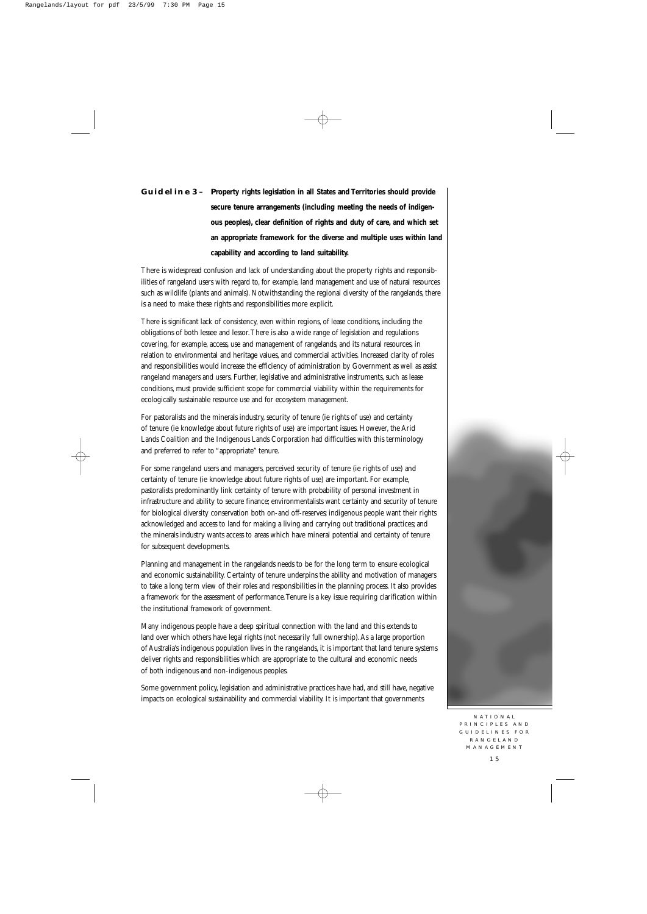# GUIDELINE 3 - Property rights legislation in all States and Territories should provide **secure tenure arrangements (including meeting the needs of indigenous peoples), clear definition of rights and duty of care, and which set an appropriate framework for the diverse and multiple uses within land capability and according to land suitability.**

There is widespread confusion and lack of understanding about the property rights and responsibilities of rangeland users with regard to, for example, land management and use of natural resources such as wildlife (plants and animals). Notwithstanding the regional diversity of the rangelands, there is a need to make these rights and responsibilities more explicit.

There is significant lack of consistency, even within regions, of lease conditions, including the obligations of both lessee and lessor.There is also a wide range of legislation and regulations covering, for example, access, use and management of rangelands, and its natural resources, in relation to environmental and heritage values, and commercial activities. Increased clarity of roles and responsibilities would increase the efficiency of administration by Government as well as assist rangeland managers and users. Further, legislative and administrative instruments, such as lease conditions, must provide sufficient scope for commercial viability within the requirements for ecologically sustainable resource use and for ecosystem management.

For pastoralists and the minerals industry, security of tenure (ie rights of use) and certainty of tenure (ie knowledge about future rights of use) are important issues. However, the Arid Lands Coalition and the Indigenous Lands Corporation had difficulties with this terminology and preferred to refer to "appropriate" tenure.

For some rangeland users and managers, perceived security of tenure (ie rights of use) and certainty of tenure (ie knowledge about future rights of use) are important. For example, pastoralists predominantly link certainty of tenure with probability of personal investment in infrastructure and ability to secure finance; environmentalists want certainty and security of tenure for biological diversity conservation both on-and off-reserves; indigenous people want their rights acknowledged and access to land for making a living and carrying out traditional practices; and the minerals industry wants access to areas which have mineral potential and certainty of tenure for subsequent developments.

Planning and management in the rangelands needs to be for the long term to ensure ecological and economic sustainability. Certainty of tenure underpins the ability and motivation of managers to take a long term view of their roles and responsibilities in the planning process. It also provides a framework for the assessment of performance.Tenure is a key issue requiring clarification within the institutional framework of government.

Many indigenous people have a deep spiritual connection with the land and this extends to land over which others have legal rights (not necessarily full ownership). As a large proportion of Australia's indigenous population lives in the rangelands, it is important that land tenure systems deliver rights and responsibilities which are appropriate to the cultural and economic needs of both indigenous and non-indigenous peoples.

Some government policy, legislation and administrative practices have had, and still have, negative impacts on ecological sustainability and commercial viability. It is important that governments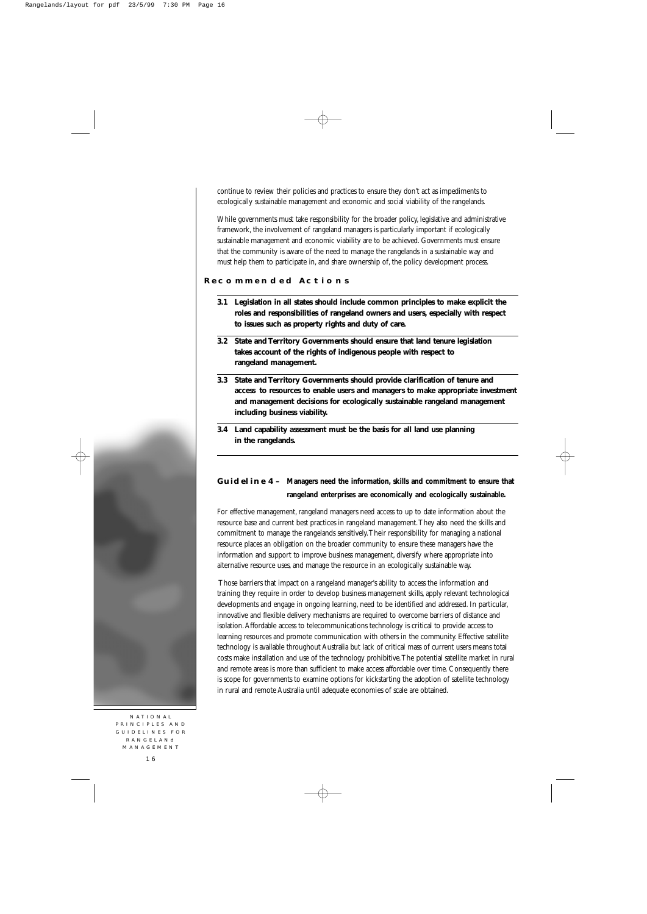continue to review their policies and practices to ensure they don't act as impediments to ecologically sustainable management and economic and social viability of the rangelands.

While governments must take responsibility for the broader policy, legislative and administrative framework, the involvement of rangeland managers is particularly important if ecologically sustainable management and economic viability are to be achieved. Governments must ensure that the community is aware of the need to manage the rangelands in a sustainable way and must help them to participate in, and share ownership of, the policy development process.

## **Recommended Actions**

- **3.1 Legislation in all states should include common principles to make explicit the roles and responsibilities of rangeland owners and users, especially with respect to issues such as property rights and duty of care.**
- **3.2 State and Territory Governments should ensure that land tenure legislation takes account of the rights of indigenous people with respect to rangeland management.**
- **3.3 State and Territory Governments should provide clarification of tenure and access to resources to enable users and managers to make appropriate investment and management decisions for ecologically sustainable rangeland management including business viability.**
- **3.4 Land capability assessment must be the basis for all land use planning in the rangelands.**

# **Guideline 4 – Managers need the information, skills and commitment to ensure that rangeland enterprises are economically and ecologically sustainable.**

For effective management, rangeland managers need access to up to date information about the resource base and current best practices in rangeland management.They also need the skills and commitment to manage the rangelands sensitively.Their responsibility for managing a national resource places an obligation on the broader community to ensure these managers have the information and support to improve business management, diversify where appropriate into alternative resource uses, and manage the resource in an ecologically sustainable way.

Those barriers that impact on a rangeland manager's ability to access the information and training they require in order to develop business management skills, apply relevant technological developments and engage in ongoing learning, need to be identified and addressed. In particular, innovative and flexible delivery mechanisms are required to overcome barriers of distance and isolation.Affordable access to telecommunications technology is critical to provide access to learning resources and promote communication with others in the community. Effective satellite technology is available throughout Australia but lack of critical mass of current users means total costs make installation and use of the technology prohibitive.The potential satellite market in rural and remote areas is more than sufficient to make access affordable over time. Consequently there is scope for governments to examine options for kickstarting the adoption of satellite technology in rural and remote Australia until adequate economies of scale are obtained.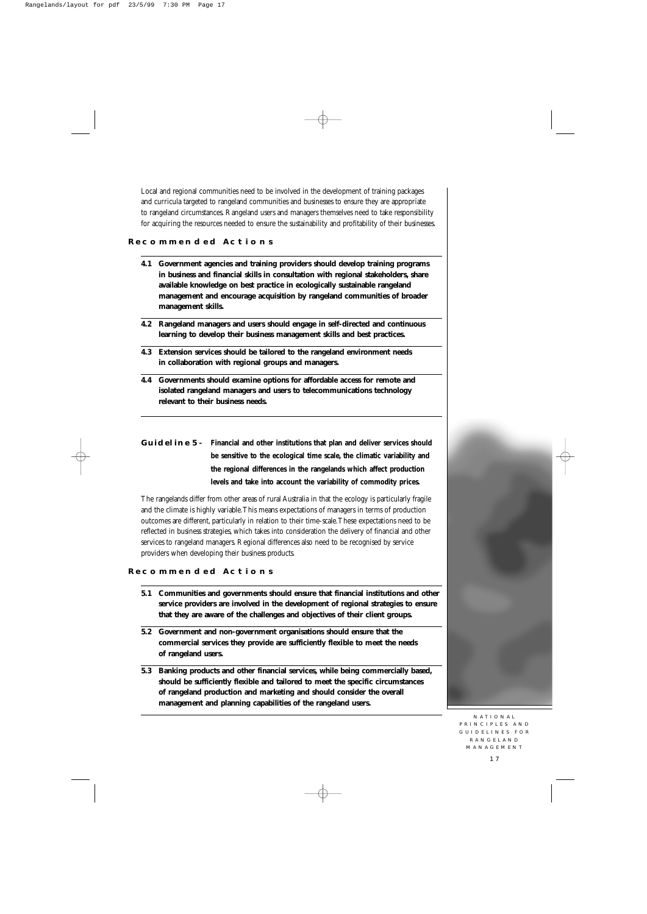Local and regional communities need to be involved in the development of training packages and curricula targeted to rangeland communities and businesses to ensure they are appropriate to rangeland circumstances. Rangeland users and managers themselves need to take responsibility for acquiring the resources needed to ensure the sustainability and profitability of their businesses.

### **Recommended Actions**

- **4.1 Government agencies and training providers should develop training programs in business and financial skills in consultation with regional stakeholders, share available knowledge on best practice in ecologically sustainable rangeland management and encourage acquisition by rangeland communities of broader management skills.**
- **4.2 Rangeland managers and users should engage in self-directed and continuous learning to develop their business management skills and best practices.**
- **4.3 Extension services should be tailored to the rangeland environment needs in collaboration with regional groups and managers.**
- **4.4 Governments should examine options for affordable access for remote and isolated rangeland managers and users to telecommunications technology relevant to their business needs.**
- **GUIDELINE 5 –** Financial and other institutions that plan and deliver services should **be sensitive to the ecological time scale, the climatic variability and the regional differences in the rangelands which affect production levels and take into account the variability of commodity prices.**

The rangelands differ from other areas of rural Australia in that the ecology is particularly fragile and the climate is highly variable.This means expectations of managers in terms of production outcomes are different, particularly in relation to their time-scale.These expectations need to be reflected in business strategies, which takes into consideration the delivery of financial and other services to rangeland managers. Regional differences also need to be recognised by service providers when developing their business products.

## **Recommended Actions**

- **5.1 Communities and governments should ensure that financial institutions and other service providers are involved in the development of regional strategies to ensure that they are aware of the challenges and objectives of their client groups.**
- **5.2 Government and non-government organisations should ensure that the commercial services they provide are sufficiently flexible to meet the needs of rangeland users.**
- **5.3 Banking products and other financial services, while being commercially based, should be sufficiently flexible and tailored to meet the specific circumstances of rangeland production and marketing and should consider the overall management and planning capabilities of the rangeland users.**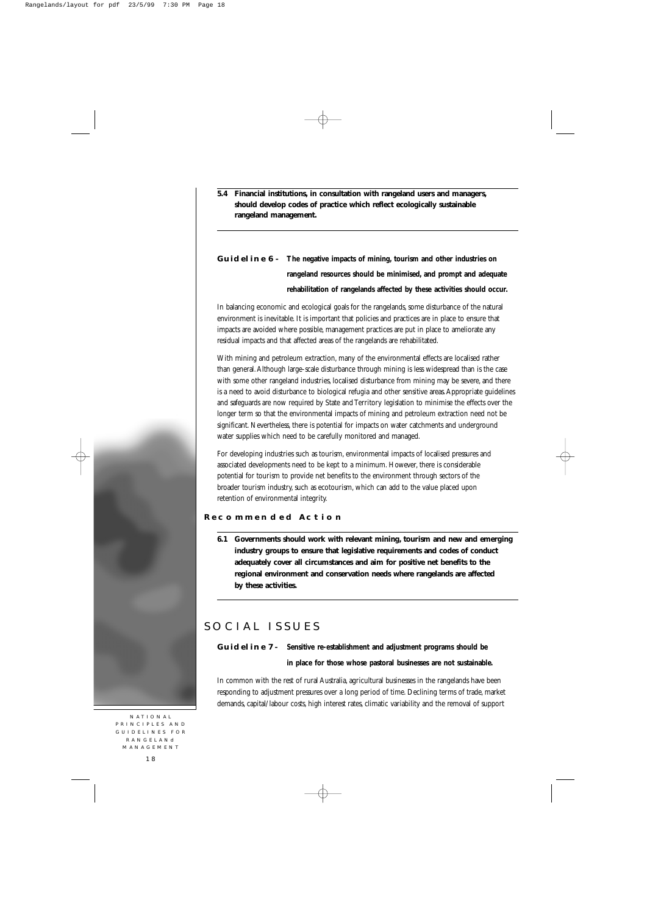## **5.4 Financial institutions, in consultation with rangeland users and managers, should develop codes of practice which reflect ecologically sustainable rangeland management.**

# **GUIDELINE 6 -** The negative impacts of mining, tourism and other industries on **rangeland resources should be minimised, and prompt and adequate rehabilitation of rangelands affected by these activities should occur.**

In balancing economic and ecological goals for the rangelands, some disturbance of the natural environment is inevitable. It is important that policies and practices are in place to ensure that impacts are avoided where possible, management practices are put in place to ameliorate any residual impacts and that affected areas of the rangelands are rehabilitated.

With mining and petroleum extraction, many of the environmental effects are localised rather than general.Although large-scale disturbance through mining is less widespread than is the case with some other rangeland industries, localised disturbance from mining may be severe, and there is a need to avoid disturbance to biological refugia and other sensitive areas.Appropriate guidelines and safeguards are now required by State and Territory legislation to minimise the effects over the longer term so that the environmental impacts of mining and petroleum extraction need not be significant. Nevertheless, there is potential for impacts on water catchments and underground water supplies which need to be carefully monitored and managed.

For developing industries such as tourism, environmental impacts of localised pressures and associated developments need to be kept to a minimum. However, there is considerable potential for tourism to provide net benefits to the environment through sectors of the broader tourism industry, such as ecotourism, which can add to the value placed upon retention of environmental integrity.

### **Recommended Action**

**6.1 Governments should work with relevant mining, tourism and new and emerging industry groups to ensure that legislative requirements and codes of conduct adequately cover all circumstances and aim for positive net benefits to the regional environment and conservation needs where rangelands are affected by these activities.**

# SOCIAL ISSUES

# **GUIDELINE 7 -** Sensitive re-establishment and adjustment programs should be **in place for those whose pastoral businesses are not sustainable.**

In common with the rest of rural Australia, agricultural businesses in the rangelands have been responding to adjustment pressures over a long period of time. Declining terms of trade, market demands, capital/labour costs, high interest rates, climatic variability and the removal of support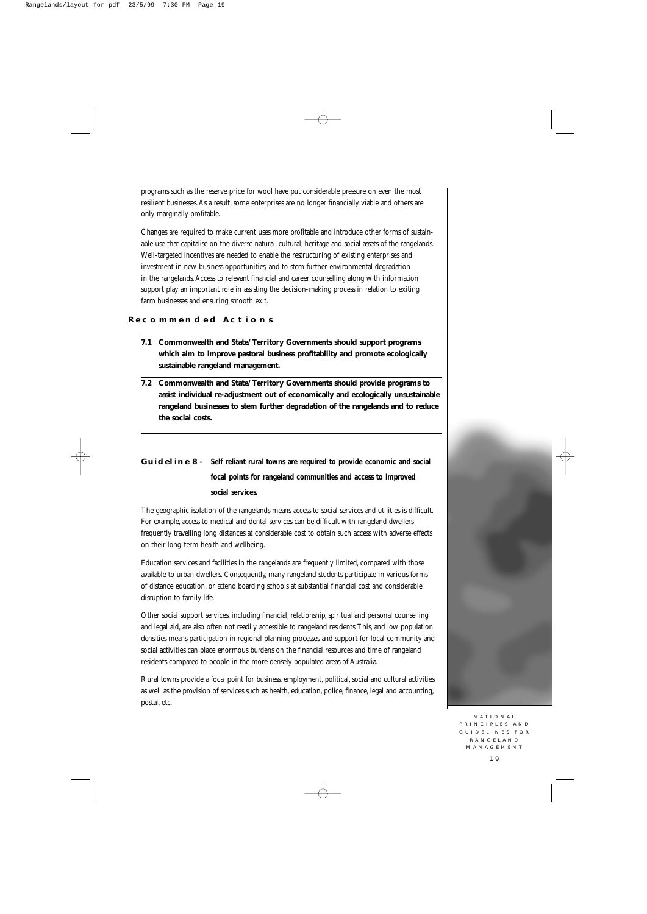programs such as the reserve price for wool have put considerable pressure on even the most resilient businesses.As a result, some enterprises are no longer financially viable and others are only marginally profitable.

Changes are required to make current uses more profitable and introduce other forms of sustainable use that capitalise on the diverse natural, cultural, heritage and social assets of the rangelands. Well-targeted incentives are needed to enable the restructuring of existing enterprises and investment in new business opportunities, and to stem further environmental degradation in the rangelands.Access to relevant financial and career counselling along with information support play an important role in assisting the decision-making process in relation to exiting farm businesses and ensuring smooth exit.

## **Recommended Actions**

- **7.1 Commonwealth and State/Territory Governments should support programs which aim to improve pastoral business profitability and promote ecologically sustainable rangeland management.**
- **7.2 Commonwealth and State/Territory Governments should provide programs to assist individual re-adjustment out of economically and ecologically unsustainable rangeland businesses to stem further degradation of the rangelands and to reduce the social costs.**

# **Guideline 8 – Self reliant rural towns are required to provide economic and social focal points for rangeland communities and access to improved social services.**

The geographic isolation of the rangelands means access to social services and utilities is difficult. For example, access to medical and dental services can be difficult with rangeland dwellers frequently travelling long distances at considerable cost to obtain such access with adverse effects on their long-term health and wellbeing.

Education services and facilities in the rangelands are frequently limited, compared with those available to urban dwellers. Consequently, many rangeland students participate in various forms of distance education, or attend boarding schools at substantial financial cost and considerable disruption to family life.

Other social support services, including financial, relationship, spiritual and personal counselling and legal aid, are also often not readily accessible to rangeland residents.This, and low population densities means participation in regional planning processes and support for local community and social activities can place enormous burdens on the financial resources and time of rangeland residents compared to people in the more densely populated areas of Australia.

Rural towns provide a focal point for business, employment, political, social and cultural activities as well as the provision of services such as health, education, police, finance, legal and accounting, postal, etc.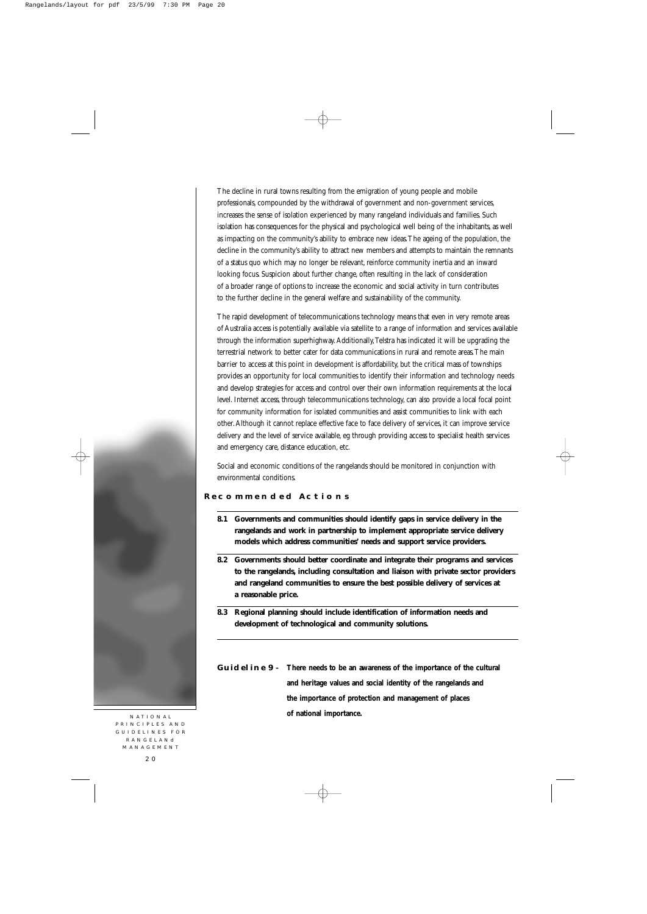The decline in rural towns resulting from the emigration of young people and mobile professionals, compounded by the withdrawal of government and non-government services, increases the sense of isolation experienced by many rangeland individuals and families. Such isolation has consequences for the physical and psychological well being of the inhabitants, as well as impacting on the community's ability to embrace new ideas.The ageing of the population, the decline in the community's ability to attract new members and attempts to maintain the remnants of a status quo which may no longer be relevant, reinforce community inertia and an inward looking focus. Suspicion about further change, often resulting in the lack of consideration of a broader range of options to increase the economic and social activity in turn contributes to the further decline in the general welfare and sustainability of the community.

The rapid development of telecommunications technology means that even in very remote areas of Australia access is potentially available via satellite to a range of information and services available through the information superhighway.Additionally,Telstra has indicated it will be upgrading the terrestrial network to better cater for data communications in rural and remote areas.The main barrier to access at this point in development is affordability, but the critical mass of townships provides an opportunity for local communities to identify their information and technology needs and develop strategies for access and control over their own information requirements at the local level. Internet access, through telecommunications technology, can also provide a local focal point for community information for isolated communities and assist communities to link with each other.Although it cannot replace effective face to face delivery of services, it can improve service delivery and the level of service available, eg through providing access to specialist health services and emergency care, distance education, etc.

Social and economic conditions of the rangelands should be monitored in conjunction with environmental conditions.

## **Recommended Actions**

- **8.1 Governments and communities should identify gaps in service delivery in the rangelands and work in partnership to implement appropriate service delivery models which address communities' needs and support service providers.**
- **8.2 Governments should better coordinate and integrate their programs and services to the rangelands, including consultation and liaison with private sector providers and rangeland communities to ensure the best possible delivery of services at a reasonable price.**
- **8.3 Regional planning should include identification of information needs and development of technological and community solutions.**
- **GUIDELINE 9** There needs to be an awareness of the importance of the cultural **and heritage values and social identity of the rangelands and the importance of protection and management of places**  NATIONAL **of national importance.**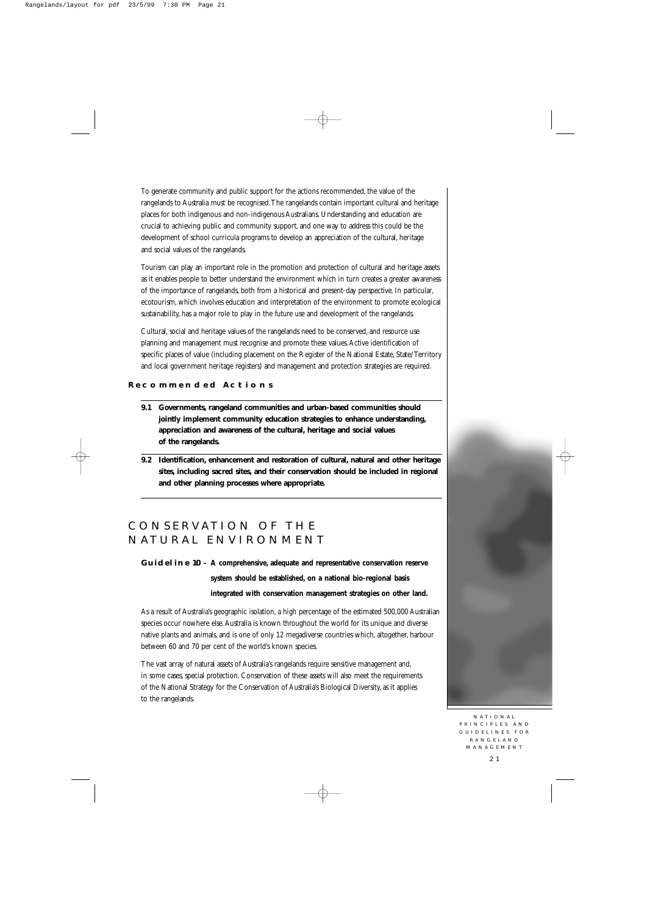To generate community and public support for the actions recommended, the value of the rangelands to Australia must be recognised.The rangelands contain important cultural and heritage places for both indigenous and non-indigenous Australians. Understanding and education are crucial to achieving public and community support, and one way to address this could be the development of school curricula programs to develop an appreciation of the cultural, heritage and social values of the rangelands.

Tourism can play an important role in the promotion and protection of cultural and heritage assets as it enables people to better understand the environment which in turn creates a greater awareness of the importance of rangelands, both from a historical and present-day perspective. In particular, ecotourism, which involves education and interpretation of the environment to promote ecological sustainability, has a major role to play in the future use and development of the rangelands.

Cultural, social and heritage values of the rangelands need to be conserved, and resource use planning and management must recognise and promote these values.Active identification of specific places of value (including placement on the Register of the National Estate, State/Territory and local government heritage registers) and management and protection strategies are required.

## **Recommended Actions**

- **9.1 Governments, rangeland communities and urban-based communities should jointly implement community education strategies to enhance understanding, appreciation and awareness of the cultural, heritage and social values of the rangelands.**
- **9.2 Identification, enhancement and restoration of cultural, natural and other heritage sites, including sacred sites, and their conservation should be included in regional and other planning processes where appropriate.**

# CONSERVATION OF THE NATURAL ENVIRONMENT

**Guideline 10 – A comprehensive, adequate and representative conservation reserve system should be established, on a national bio-regional basis integrated with conservation management strategies on other land.**

As a result of Australia's geographic isolation, a high percentage of the estimated 500,000 Australian species occur nowhere else.Australia is known throughout the world for its unique and diverse native plants and animals, and is one of only 12 megadiverse countries which, altogether, harbour between 60 and 70 per cent of the world's known species.

The vast array of natural assets of Australia's rangelands require sensitive management and, in some cases, special protection. Conservation of these assets will also meet the requirements of the National Strategy for the Conservation of Australia's Biological Diversity, as it applies to the rangelands.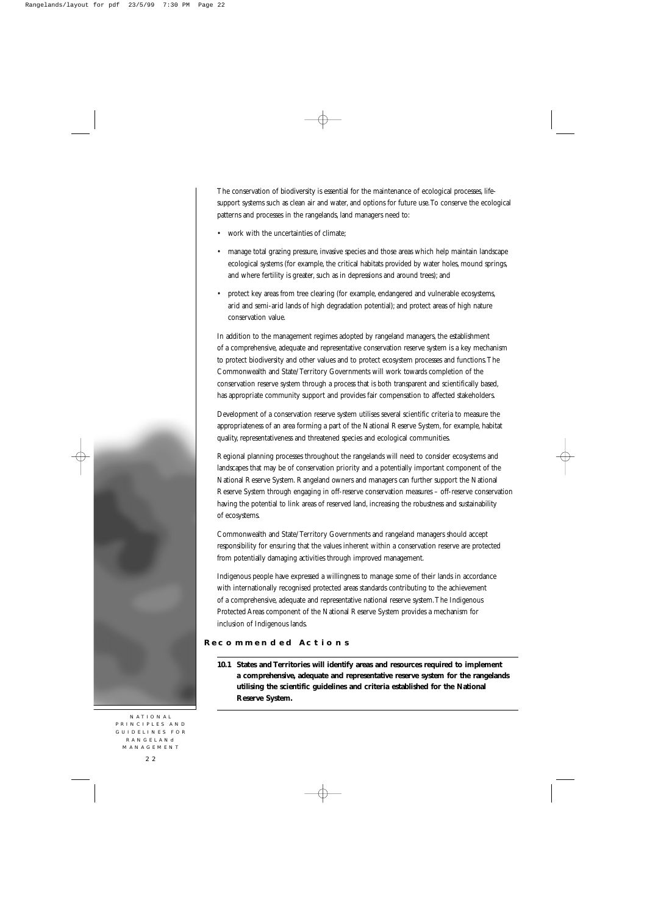The conservation of biodiversity is essential for the maintenance of ecological processes, lifesupport systems such as clean air and water, and options for future use.To conserve the ecological patterns and processes in the rangelands, land managers need to:

- work with the uncertainties of climate;
- manage total grazing pressure, invasive species and those areas which help maintain landscape ecological systems (for example, the critical habitats provided by water holes, mound springs, and where fertility is greater, such as in depressions and around trees); and
- protect key areas from tree clearing (for example, endangered and vulnerable ecosystems, arid and semi-arid lands of high degradation potential); and protect areas of high nature conservation value.

In addition to the management regimes adopted by rangeland managers, the establishment of a comprehensive, adequate and representative conservation reserve system is a key mechanism to protect biodiversity and other values and to protect ecosystem processes and functions.The Commonwealth and State/Territory Governments will work towards completion of the conservation reserve system through a process that is both transparent and scientifically based, has appropriate community support and provides fair compensation to affected stakeholders.

Development of a conservation reserve system utilises several scientific criteria to measure the appropriateness of an area forming a part of the National Reserve System, for example, habitat quality, representativeness and threatened species and ecological communities.

Regional planning processes throughout the rangelands will need to consider ecosystems and landscapes that may be of conservation priority and a potentially important component of the National Reserve System. Rangeland owners and managers can further support the National Reserve System through engaging in off-reserve conservation measures – off-reserve conservation having the potential to link areas of reserved land, increasing the robustness and sustainability of ecosystems.

Commonwealth and State/Territory Governments and rangeland managers should accept responsibility for ensuring that the values inherent within a conservation reserve are protected from potentially damaging activities through improved management.

Indigenous people have expressed a willingness to manage some of their lands in accordance with internationally recognised protected areas standards contributing to the achievement of a comprehensive, adequate and representative national reserve system.The Indigenous Protected Areas component of the National Reserve System provides a mechanism for inclusion of Indigenous lands.

### **Recommended Actions**

**10.1 States and Territories will identify areas and resources required to implement a comprehensive, adequate and representative reserve system for the rangelands utilising the scientific guidelines and criteria established for the National Reserve System.**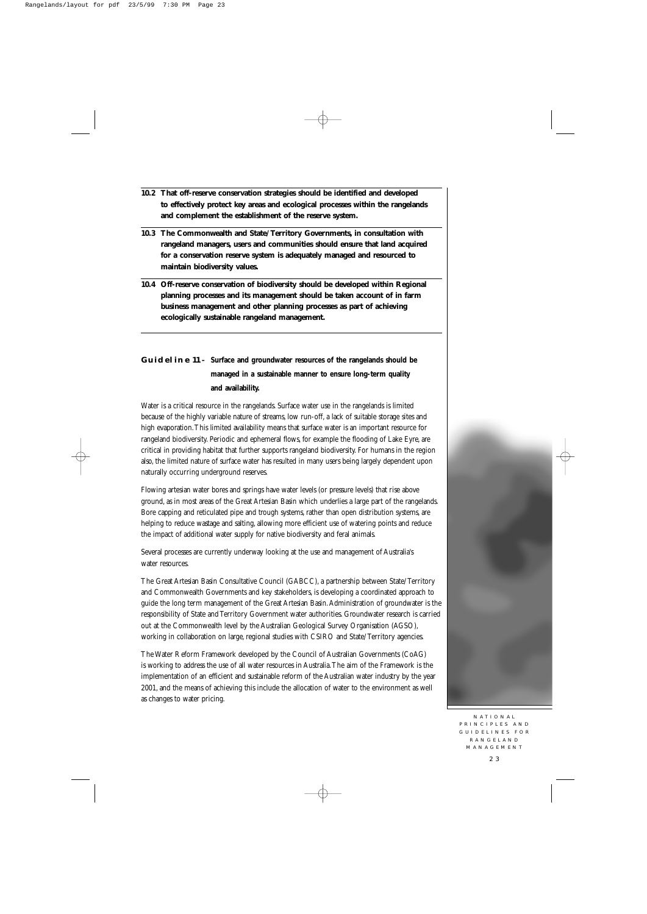- **10.2 That off-reserve conservation strategies should be identified and developed to effectively protect key areas and ecological processes within the rangelands and complement the establishment of the reserve system.**
- **10.3 The Commonwealth and State/Territory Governments, in consultation with rangeland managers, users and communities should ensure that land acquired for a conservation reserve system is adequately managed and resourced to maintain biodiversity values.**
- **10.4 Off-reserve conservation of biodiversity should be developed within Regional planning processes and its management should be taken account of in farm business management and other planning processes as part of achieving ecologically sustainable rangeland management.**

# **Guideline 11 – Surface and groundwater resources of the rangelands should be managed in a sustainable manner to ensure long-term quality and availability.**

Water is a critical resource in the rangelands. Surface water use in the rangelands is limited because of the highly variable nature of streams, low run-off, a lack of suitable storage sites and high evaporation.This limited availability means that surface water is an important resource for rangeland biodiversity. Periodic and ephemeral flows, for example the flooding of Lake Eyre, are critical in providing habitat that further supports rangeland biodiversity. For humans in the region also, the limited nature of surface water has resulted in many users being largely dependent upon naturally occurring underground reserves.

Flowing artesian water bores and springs have water levels (or pressure levels) that rise above ground, as in most areas of the Great Artesian Basin which underlies a large part of the rangelands. Bore capping and reticulated pipe and trough systems, rather than open distribution systems, are helping to reduce wastage and salting, allowing more efficient use of watering points and reduce the impact of additional water supply for native biodiversity and feral animals.

Several processes are currently underway looking at the use and management of Australia's water resources.

The Great Artesian Basin Consultative Council (GABCC), a partnership between State/Territory and Commonwealth Governments and key stakeholders, is developing a coordinated approach to guide the long term management of the Great Artesian Basin.Administration of groundwater is the responsibility of State and Territory Government water authorities. Groundwater research is carried out at the Commonwealth level by the Australian Geological Survey Organisation (AGSO), working in collaboration on large, regional studies with CSIRO and State/Territory agencies.

The Water Reform Framework developed by the Council of Australian Governments (CoAG) is working to address the use of all water resources in Australia.The aim of the Framework is the implementation of an efficient and sustainable reform of the Australian water industry by the year 2001, and the means of achieving this include the allocation of water to the environment as well as changes to water pricing.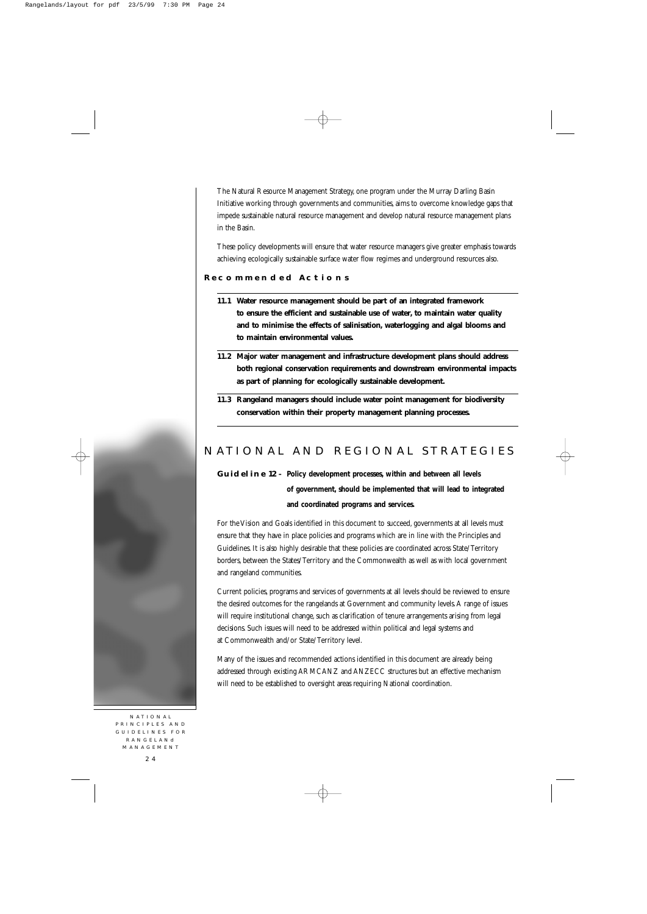The Natural Resource Management Strategy, one program under the Murray Darling Basin Initiative working through governments and communities, aims to overcome knowledge gaps that impede sustainable natural resource management and develop natural resource management plans in the Basin.

These policy developments will ensure that water resource managers give greater emphasis towards achieving ecologically sustainable surface water flow regimes and underground resources also.

## **Recommended Actions**

- **11.1 Water resource management should be part of an integrated framework to ensure the efficient and sustainable use of water, to maintain water quality and to minimise the effects of salinisation, waterlogging and algal blooms and to maintain environmental values.**
- **11.2 Major water management and infrastructure development plans should address both regional conservation requirements and downstream environmental impacts as part of planning for ecologically sustainable development.**
- **11.3 Rangeland managers should include water point management for biodiversity conservation within their property management planning processes.**

# NATIONAL AND REGIONAL STRATEGIES

GUIDELINE 12 - Policy development processes, within and between all levels

**of government, should be implemented that will lead to integrated and coordinated programs and services.**

For the Vision and Goals identified in this document to succeed, governments at all levels must ensure that they have in place policies and programs which are in line with the Principles and Guidelines. It is also highly desirable that these policies are coordinated across State/Territory borders, between the States/Territory and the Commonwealth as well as with local government and rangeland communities.

Current policies, programs and services of governments at all levels should be reviewed to ensure the desired outcomes for the rangelands at Government and community levels.A range of issues will require institutional change, such as clarification of tenure arrangements arising from legal decisions. Such issues will need to be addressed within political and legal systems and at Commonwealth and/or State/Territory level.

Many of the issues and recommended actions identified in this document are already being addressed through existing ARMCANZ and ANZECC structures but an effective mechanism will need to be established to oversight areas requiring National coordination.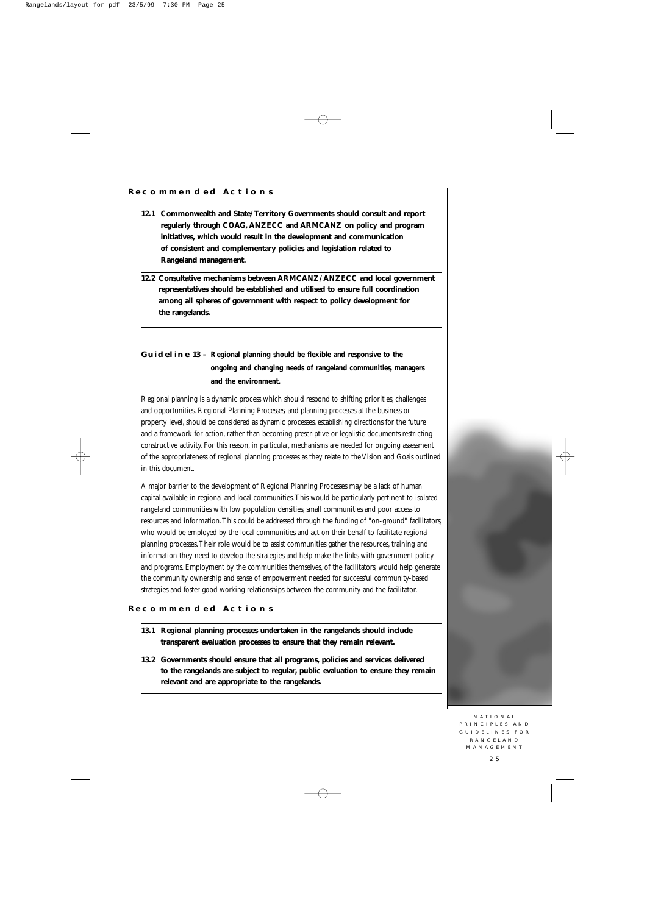### **Recommended Actions**

- **12.1 Commonwealth and State/Territory Governments should consult and report regularly through COAG, ANZECC and ARMCANZ on policy and program initiatives, which would result in the development and communication of consistent and complementary policies and legislation related to Rangeland management.**
- **12.2 Consultative mechanisms between ARMCANZ/ANZECC and local government representatives should be established and utilised to ensure full coordination among all spheres of government with respect to policy development for the rangelands.**

# GUIDELINE 13 - Regional planning should be flexible and responsive to the **ongoing and changing needs of rangeland communities, managers and the environment.**

Regional planning is a dynamic process which should respond to shifting priorities, challenges and opportunities. Regional Planning Processes, and planning processes at the business or property level, should be considered as dynamic processes, establishing directions for the future and a framework for action, rather than becoming prescriptive or legalistic documents restricting constructive activity. For this reason, in particular, mechanisms are needed for ongoing assessment of the appropriateness of regional planning processes as they relate to the Vision and Goals outlined in this document.

A major barrier to the development of Regional Planning Processes may be a lack of human capital available in regional and local communities.This would be particularly pertinent to isolated rangeland communities with low population densities, small communities and poor access to resources and information.This could be addressed through the funding of "on-ground" facilitators, who would be employed by the local communities and act on their behalf to facilitate regional planning processes.Their role would be to assist communities gather the resources, training and information they need to develop the strategies and help make the links with government policy and programs. Employment by the communities themselves, of the facilitators, would help generate the community ownership and sense of empowerment needed for successful community-based strategies and foster good working relationships between the community and the facilitator.

### **Recommended Actions**

- **13.1 Regional planning processes undertaken in the rangelands should include transparent evaluation processes to ensure that they remain relevant.**
- **13.2 Governments should ensure that all programs, policies and services delivered to the rangelands are subject to regular, public evaluation to ensure they remain relevant and are appropriate to the rangelands.**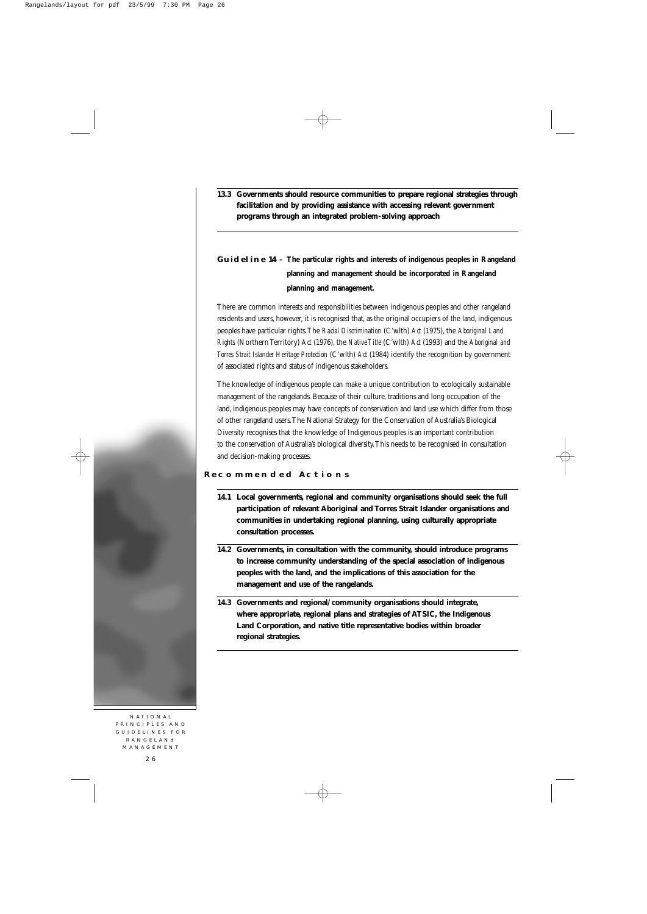**13.3 Governments should resource communities to prepare regional strategies through facilitation and by providing assistance with accessing relevant government programs through an integrated problem-solving approach**

# **Guideline 14 – The particular rights and interests of indigenous peoples in Rangeland planning and management should be incorporated in Rangeland planning and management.**

There are common interests and responsibilities between indigenous peoples and other rangeland residents and users, however, it is recognised that, as the original occupiers of the land, indigenous peoples have particular rights.The *Racial Discrimination* (C'wlth) *Act* (1975), the *Aboriginal Land Rights* (Northern Territory) *Act* (1976), the *Native Title* (C'wlth) *Act* (1993) and the *Aboriginal and Torres Strait Islander Heritage Protection* (C'wlth) *Act* (1984) identify the recognition by government of associated rights and status of indigenous stakeholders.

The knowledge of indigenous people can make a unique contribution to ecologically sustainable management of the rangelands. Because of their culture, traditions and long occupation of the land, indigenous peoples may have concepts of conservation and land use which differ from those of other rangeland users.The National Strategy for the Conservation of Australia's Biological Diversity recognises that the knowledge of Indigenous peoples is an important contribution to the conservation of Australia's biological diversity.This needs to be recognised in consultation and decision-making processes.

## **Recommended Actions**

- **14.1 Local governments, regional and community organisations should seek the full participation of relevant Aboriginal and Torres Strait Islander organisations and communities in undertaking regional planning, using culturally appropriate consultation processes.**
- **14.2 Governments, in consultation with the community, should introduce programs to increase community understanding of the special association of indigenous peoples with the land, and the implications of this association for the management and use of the rangelands.**
- **14.3 Governments and regional/community organisations should integrate, where appropriate, regional plans and strategies of ATSIC, the Indigenous Land Corporation, and native title representative bodies within broader regional strategies.**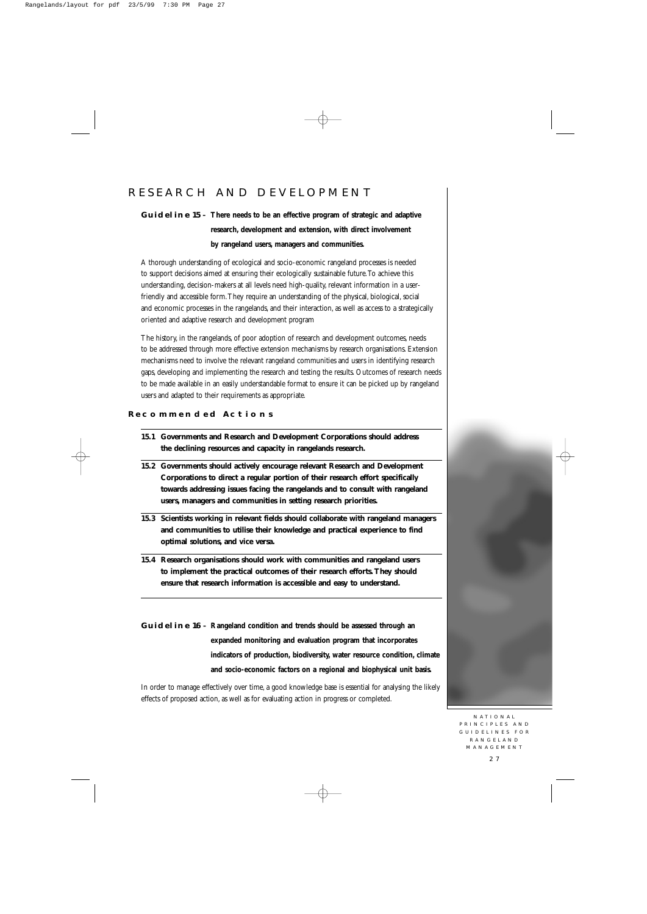# RESEARCH AND DEVELOPMENT

# **Guideline 15 – There needs to be an effective program of strategic and adaptive research, development and extension, with direct involvement by rangeland users, managers and communities.**

A thorough understanding of ecological and socio-economic rangeland processes is needed to support decisions aimed at ensuring their ecologically sustainable future.To achieve this understanding, decision-makers at all levels need high-quality, relevant information in a userfriendly and accessible form.They require an understanding of the physical, biological, social and economic processes in the rangelands, and their interaction, as well as access to a strategically oriented and adaptive research and development program

The history, in the rangelands, of poor adoption of research and development outcomes, needs to be addressed through more effective extension mechanisms by research organisations. Extension mechanisms need to involve the relevant rangeland communities and users in identifying research gaps, developing and implementing the research and testing the results. Outcomes of research needs to be made available in an easily understandable format to ensure it can be picked up by rangeland users and adapted to their requirements as appropriate.

### **Recommended Actions**

- **15.1 Governments and Research and Development Corporations should address the declining resources and capacity in rangelands research.**
- **15.2 Governments should actively encourage relevant Research and Development Corporations to direct a regular portion of their research effort specifically towards addressing issues facing the rangelands and to consult with rangeland users, managers and communities in setting research priorities.**
- **15.3 Scientists working in relevant fields should collaborate with rangeland managers and communities to utilise their knowledge and practical experience to find optimal solutions, and vice versa.**
- **15.4 Research organisations should work with communities and rangeland users to implement the practical outcomes of their research efforts.They should ensure that research information is accessible and easy to understand.**

GUIDELINE 16 - Rangeland condition and trends should be assessed through an **expanded monitoring and evaluation program that incorporates indicators of production, biodiversity, water resource condition, climate and socio-economic factors on a regional and biophysical unit basis.**

In order to manage effectively over time, a good knowledge base is essential for analysing the likely effects of proposed action, as well as for evaluating action in progress or completed.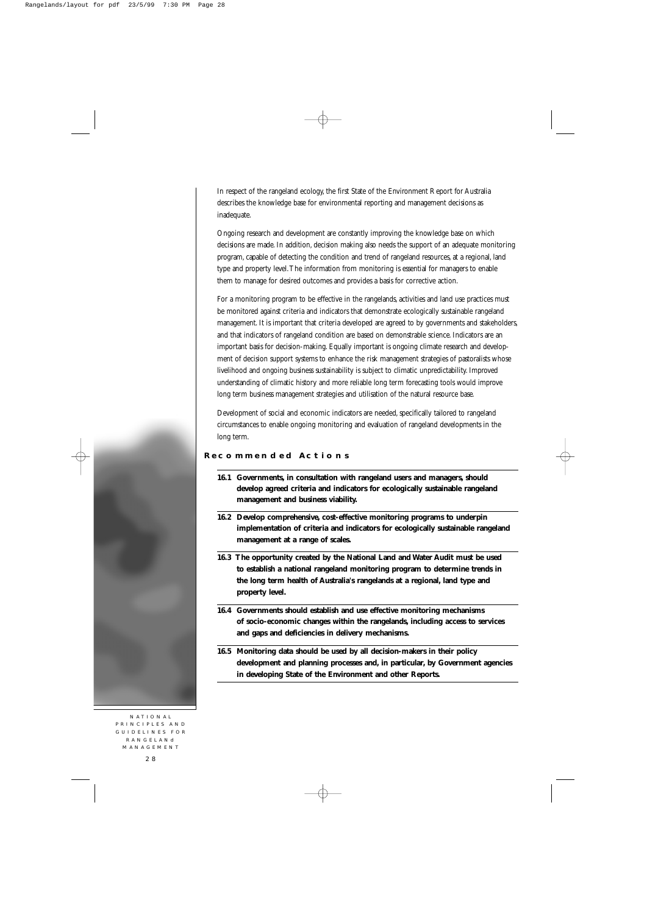In respect of the rangeland ecology, the first State of the Environment Report for Australia describes the knowledge base for environmental reporting and management decisions as inadequate.

Ongoing research and development are constantly improving the knowledge base on which decisions are made. In addition, decision making also needs the support of an adequate monitoring program, capable of detecting the condition and trend of rangeland resources, at a regional, land type and property level.The information from monitoring is essential for managers to enable them to manage for desired outcomes and provides a basis for corrective action.

For a monitoring program to be effective in the rangelands, activities and land use practices must be monitored against criteria and indicators that demonstrate ecologically sustainable rangeland management. It is important that criteria developed are agreed to by governments and stakeholders, and that indicators of rangeland condition are based on demonstrable science. Indicators are an important basis for decision-making. Equally important is ongoing climate research and development of decision support systems to enhance the risk management strategies of pastoralists whose livelihood and ongoing business sustainability is subject to climatic unpredictability. Improved understanding of climatic history and more reliable long term forecasting tools would improve long term business management strategies and utilisation of the natural resource base.

Development of social and economic indicators are needed, specifically tailored to rangeland circumstances to enable ongoing monitoring and evaluation of rangeland developments in the long term.

## **Recommended Actions**

- **16.1 Governments, in consultation with rangeland users and managers, should develop agreed criteria and indicators for ecologically sustainable rangeland management and business viability.**
- **16.2 Develop comprehensive, cost-effective monitoring programs to underpin implementation of criteria and indicators for ecologically sustainable rangeland management at a range of scales.**
- **16.3 The opportunity created by the National Land and Water Audit must be used to establish a national rangeland monitoring program to determine trends in the long term health of Australia's rangelands at a regional, land type and property level.**
- **16.4 Governments should establish and use effective monitoring mechanisms of socio-economic changes within the rangelands, including access to services and gaps and deficiencies in delivery mechanisms.**
- **16.5 Monitoring data should be used by all decision-makers in their policy development and planning processes and, in particular, by Government agencies in developing State of the Environment and other Reports.**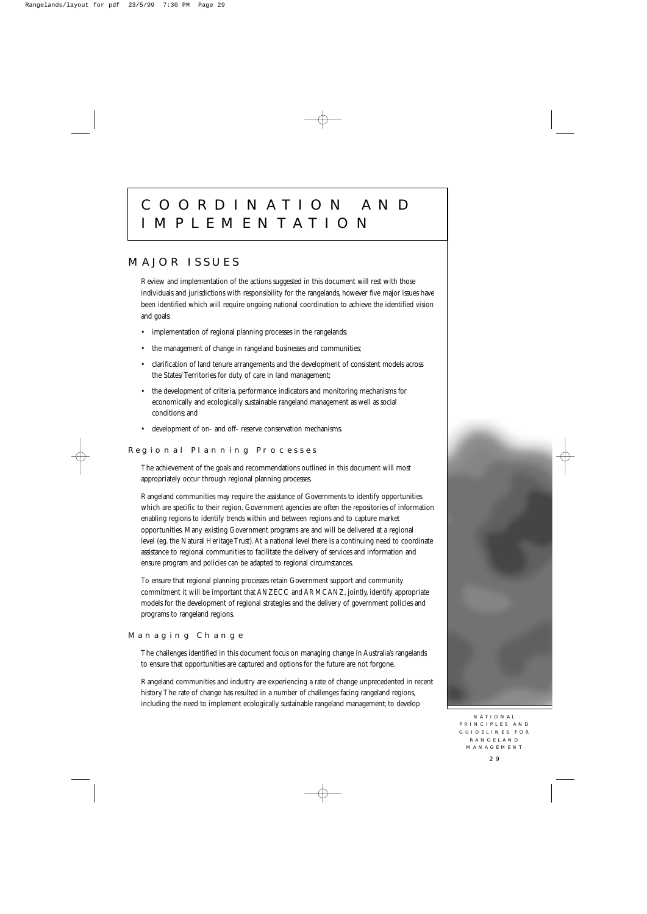# COORDINATION AND IMPLEMENTATION

# MAJOR ISSUES

Review and implementation of the actions suggested in this document will rest with those individuals and jurisdictions with responsibility for the rangelands, however five major issues have been identified which will require ongoing national coordination to achieve the identified vision and goals:

- implementation of regional planning processes in the rangelands;
- the management of change in rangeland businesses and communities;
- clarification of land tenure arrangements and the development of consistent models across the States/Territories for duty of care in land management;
- the development of criteria, performance indicators and monitoring mechanisms for economically and ecologically sustainable rangeland management as well as social conditions; and
- development of on- and off- reserve conservation mechanisms.

## Regional Planning Processes

The achievement of the goals and recommendations outlined in this document will most appropriately occur through regional planning processes.

Rangeland communities may require the assistance of Governments to identify opportunities which are specific to their region. Government agencies are often the repositories of information enabling regions to identify trends within and between regions and to capture market opportunities. Many existing Government programs are and will be delivered at a regional level (eg. the Natural Heritage Trust).At a national level there is a continuing need to coordinate assistance to regional communities to facilitate the delivery of services and information and ensure program and policies can be adapted to regional circumstances.

To ensure that regional planning processes retain Government support and community commitment it will be important that ANZECC and ARMCANZ, jointly, identify appropriate models for the development of regional strategies and the delivery of government policies and programs to rangeland regions.

## Managing Change

The challenges identified in this document focus on managing change in Australia's rangelands to ensure that opportunities are captured and options for the future are not forgone.

Rangeland communities and industry are experiencing a rate of change unprecedented in recent history.The rate of change has resulted in a number of challenges facing rangeland regions, including the need to implement ecologically sustainable rangeland management; to develop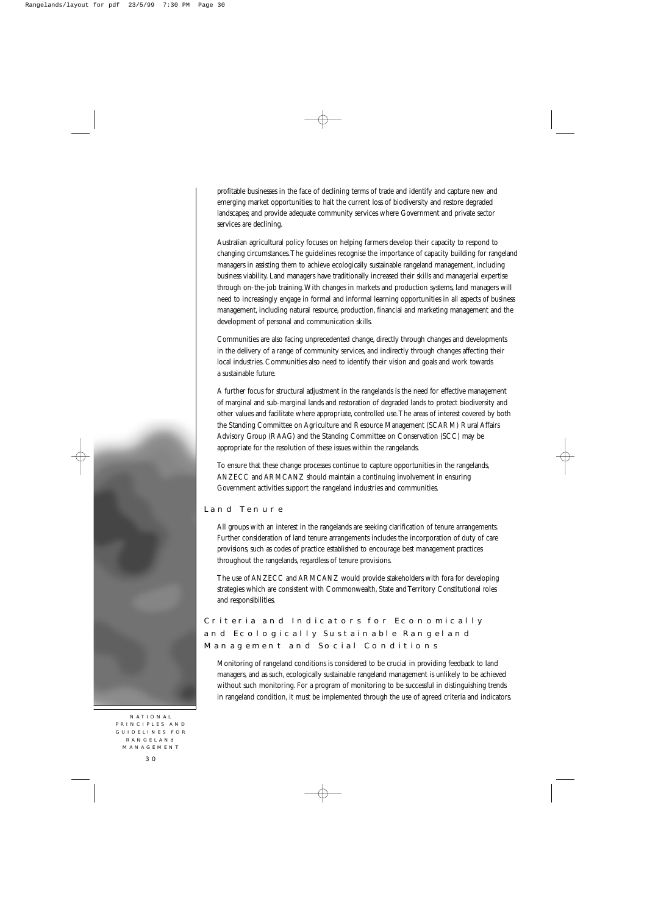profitable businesses in the face of declining terms of trade and identify and capture new and emerging market opportunities; to halt the current loss of biodiversity and restore degraded landscapes; and provide adequate community services where Government and private sector services are declining.

Australian agricultural policy focuses on helping farmers develop their capacity to respond to changing circumstances.The guidelines recognise the importance of capacity building for rangeland managers in assisting them to achieve ecologically sustainable rangeland management, including business viability. Land managers have traditionally increased their skills and managerial expertise through on-the-job training.With changes in markets and production systems, land managers will need to increasingly engage in formal and informal learning opportunities in all aspects of business management, including natural resource, production, financial and marketing management and the development of personal and communication skills.

Communities are also facing unprecedented change, directly through changes and developments in the delivery of a range of community services, and indirectly through changes affecting their local industries. Communities also need to identify their vision and goals and work towards a sustainable future.

A further focus for structural adjustment in the rangelands is the need for effective management of marginal and sub-marginal lands and restoration of degraded lands to protect biodiversity and other values and facilitate where appropriate, controlled use.The areas of interest covered by both the Standing Committee on Agriculture and Resource Management (SCARM) Rural Affairs Advisory Group (RAAG) and the Standing Committee on Conservation (SCC) may be appropriate for the resolution of these issues within the rangelands.

To ensure that these change processes continue to capture opportunities in the rangelands, ANZECC and ARMCANZ should maintain a continuing involvement in ensuring Government activities support the rangeland industries and communities.

## Land Tenure

All groups with an interest in the rangelands are seeking clarification of tenure arrangements. Further consideration of land tenure arrangements includes the incorporation of duty of care provisions, such as codes of practice established to encourage best management practices throughout the rangelands, regardless of tenure provisions.

The use of ANZECC and ARMCANZ would provide stakeholders with fora for developing strategies which are consistent with Commonwealth, State and Territory Constitutional roles and responsibilities.

# Criteria and Indicators for Economically and Ecologically Sustainable Rangeland Management and Social Conditions

Monitoring of rangeland conditions is considered to be crucial in providing feedback to land managers, and as such, ecologically sustainable rangeland management is unlikely to be achieved without such monitoring. For a program of monitoring to be successful in distinguishing trends in rangeland condition, it must be implemented through the use of agreed criteria and indicators.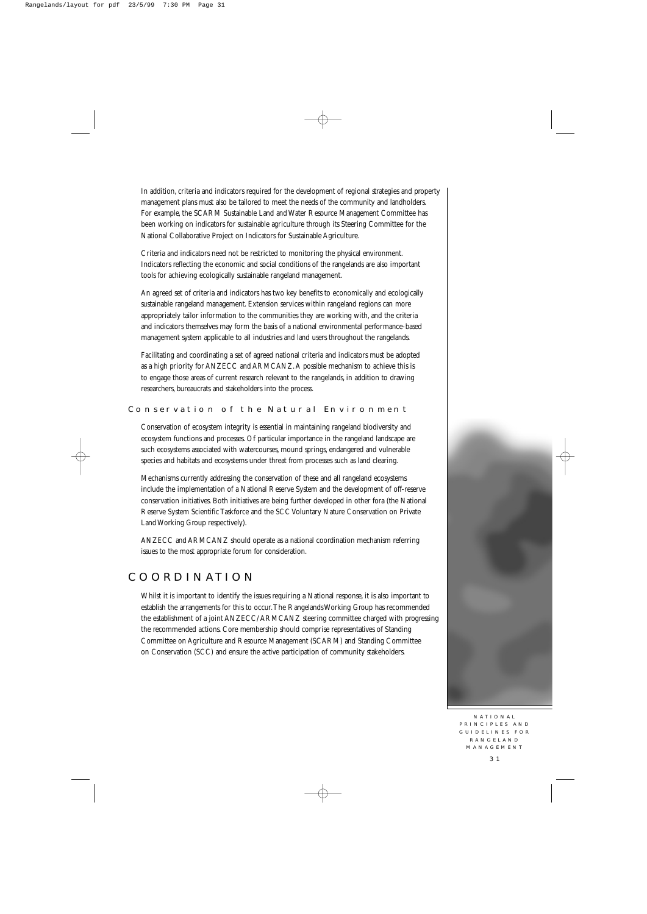In addition, criteria and indicators required for the development of regional strategies and property management plans must also be tailored to meet the needs of the community and landholders. For example, the SCARM Sustainable Land and Water Resource Management Committee has been working on indicators for sustainable agriculture through its Steering Committee for the National Collaborative Project on Indicators for Sustainable Agriculture.

Criteria and indicators need not be restricted to monitoring the physical environment. Indicators reflecting the economic and social conditions of the rangelands are also important tools for achieving ecologically sustainable rangeland management.

An agreed set of criteria and indicators has two key benefits to economically and ecologically sustainable rangeland management. Extension services within rangeland regions can more appropriately tailor information to the communities they are working with, and the criteria and indicators themselves may form the basis of a national environmental performance-based management system applicable to all industries and land users throughout the rangelands.

Facilitating and coordinating a set of agreed national criteria and indicators must be adopted as a high priority for ANZECC and ARMCANZ.A possible mechanism to achieve this is to engage those areas of current research relevant to the rangelands, in addition to drawing researchers, bureaucrats and stakeholders into the process.

## Conservation of the Natural Environment

Conservation of ecosystem integrity is essential in maintaining rangeland biodiversity and ecosystem functions and processes. Of particular importance in the rangeland landscape are such ecosystems associated with watercourses, mound springs, endangered and vulnerable species and habitats and ecosystems under threat from processes such as land clearing.

Mechanisms currently addressing the conservation of these and all rangeland ecosystems include the implementation of a National Reserve System and the development of off-reserve conservation initiatives. Both initiatives are being further developed in other fora (the National Reserve System Scientific Taskforce and the SCC Voluntary Nature Conservation on Private Land Working Group respectively).

ANZECC and ARMCANZ should operate as a national coordination mechanism referring issues to the most appropriate forum for consideration.

# COORDINATION

Whilst it is important to identify the issues requiring a National response, it is also important to establish the arrangements for this to occur.The Rangelands Working Group has recommended the establishment of a joint ANZECC/ARMCANZ steering committee charged with progressing the recommended actions. Core membership should comprise representatives of Standing Committee on Agriculture and Resource Management (SCARM) and Standing Committee on Conservation (SCC) and ensure the active participation of community stakeholders.

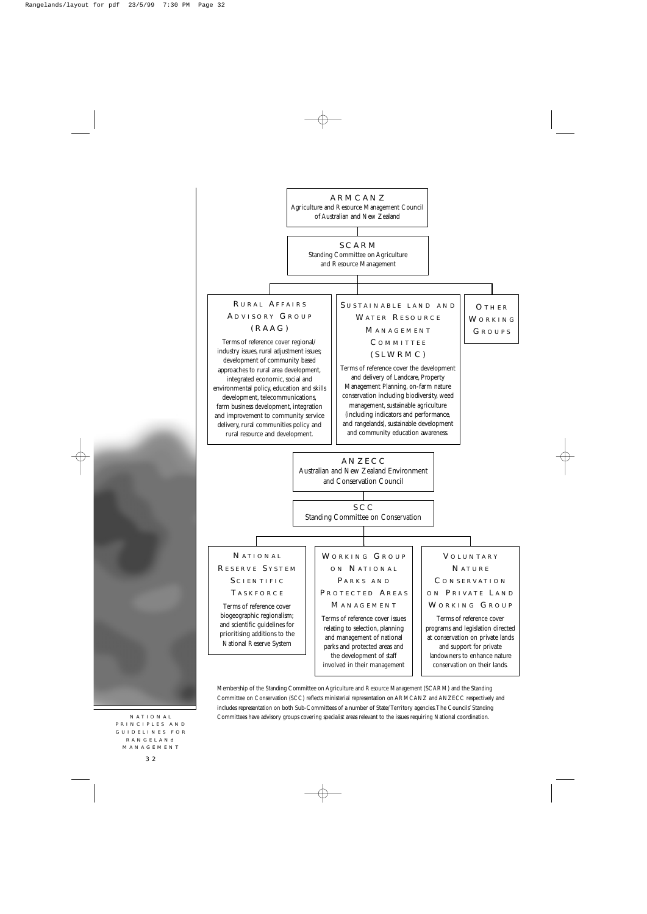

Membership of the Standing Committee on Agriculture and Resource Management (SCARM) and the Standing Committee on Conservation (SCC) reflects ministerial representation on ARMCANZ and ANZECC respectively and includes representation on both Sub-Committees of a number of State/Territory agencies.The Councils' Standing NATIONAL Committees have advisory groups covering specialist areas relevant to the issues requiring National coordination.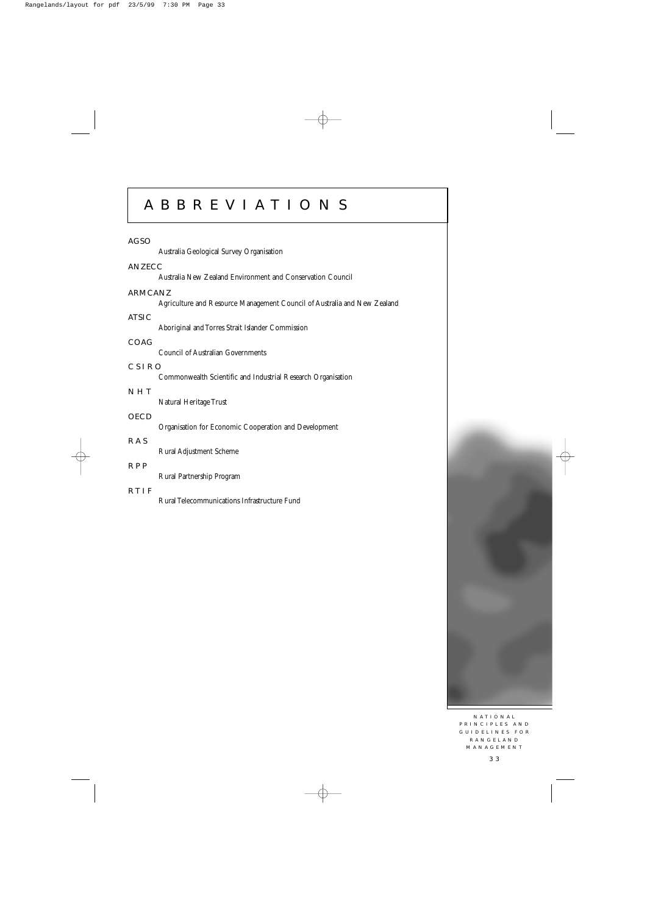# ABBREVIATIONS

| AGSO           |                                                                          |  |
|----------------|--------------------------------------------------------------------------|--|
|                | Australia Geological Survey Organisation                                 |  |
| <b>ANZECC</b>  |                                                                          |  |
|                | Australia New Zealand Environment and Conservation Council               |  |
| <b>ARMCANZ</b> |                                                                          |  |
|                | Agriculture and Resource Management Council of Australia and New Zealand |  |
| <b>ATSIC</b>   |                                                                          |  |
|                | Aboriginal and Torres Strait Islander Commission                         |  |
| <b>COAG</b>    |                                                                          |  |
|                | <b>Council of Australian Governments</b>                                 |  |
| CSIRO          |                                                                          |  |
|                | Commonwealth Scientific and Industrial Research Organisation             |  |
| NHT            | Natural Heritage Trust                                                   |  |
|                |                                                                          |  |
| <b>OECD</b>    | Organisation for Economic Cooperation and Development                    |  |
| <b>RAS</b>     |                                                                          |  |
|                | Rural Adjustment Scheme                                                  |  |
| RPP            |                                                                          |  |
|                | Rural Partnership Program                                                |  |
| <b>RTIF</b>    |                                                                          |  |
|                | <b>Rural Telecommunications Infrastructure Fund</b>                      |  |
|                |                                                                          |  |
|                |                                                                          |  |

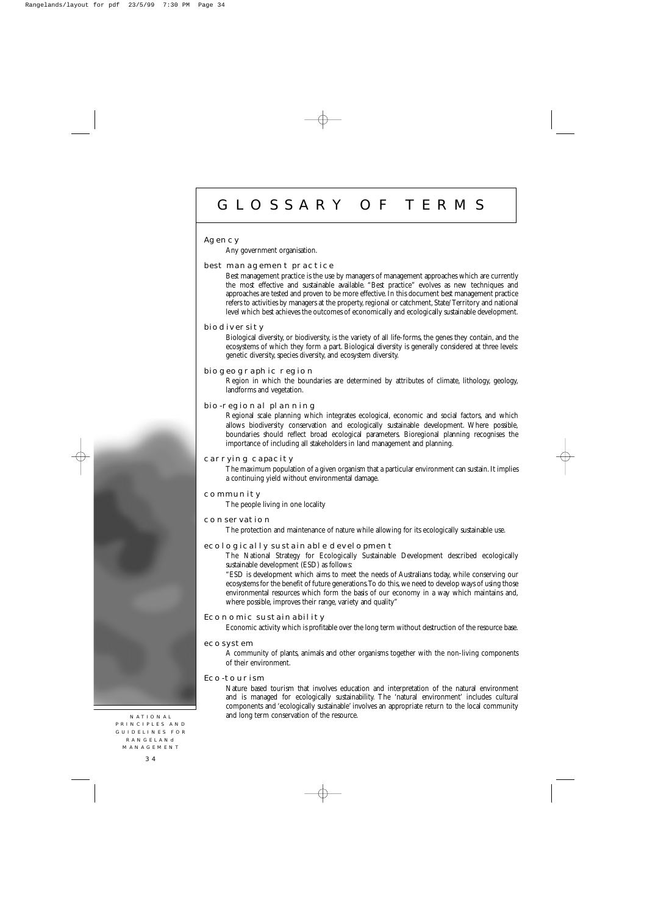# GLOSSARY OF TERMS

#### **AGENCY**

Any government organisation.

#### best management practice

Best management practice is the use by managers of management approaches which are currently the most effective and sustainable available. "Best practice" evolves as new techniques and approaches are tested and proven to be more effective. In this document best management practice refers to activities by managers at the property, regional or catchment, State/Territory and national level which best achieves the outcomes of economically and ecologically sustainable development.

#### **BIODIVERSITY**

Biological diversity, or biodiversity, is the variety of all life-forms, the genes they contain, and the ecosystems of which they form a part. Biological diversity is generally considered at three levels: genetic diversity, species diversity, and ecosystem diversity.

#### biogeographic region

Region in which the boundaries are determined by attributes of climate, lithology, geology, landforms and vegetation.

#### bio-regional planning

Regional scale planning which integrates ecological, economic and social factors, and which allows biodiversity conservation and ecologically sustainable development. Where possible, boundaries should reflect broad ecological parameters. Bioregional planning recognises the importance of including all stakeholders in land management and planning.

#### carrying capacity

The maximum population of a given organism that a particular environment can sustain. It implies a continuing yield without environmental damage.

#### **COMMUNITY**

The people living in one locality

#### **CONSERVATION**

The protection and maintenance of nature while allowing for its ecologically sustainable use.

#### ecologically sustainable development

The National Strategy for Ecologically Sustainable Development described ecologically sustainable development (ESD) as follows:

"ESD is development which aims to meet the needs of Australians today, while conserving our ecosystems for the benefit of future generations. To do this, we need to develop ways of using those environmental resources which form the basis of our economy in a way which maintains and, where possible, improves their range, variety and quality"

#### Economic sustainability

Economic activity which is profitable over the long term without destruction of the resource base.

#### **ECOSYSTEM**

A community of plants, animals and other organisms together with the non-living components of their environment.

#### ECO-TOURISM

Nature based tourism that involves education and interpretation of the natural environment and is managed for ecologically sustainability. The 'natural environment' includes cultural components and 'ecologically sustainable' involves an appropriate return to the local community NATIONAL and long term conservation of the resource.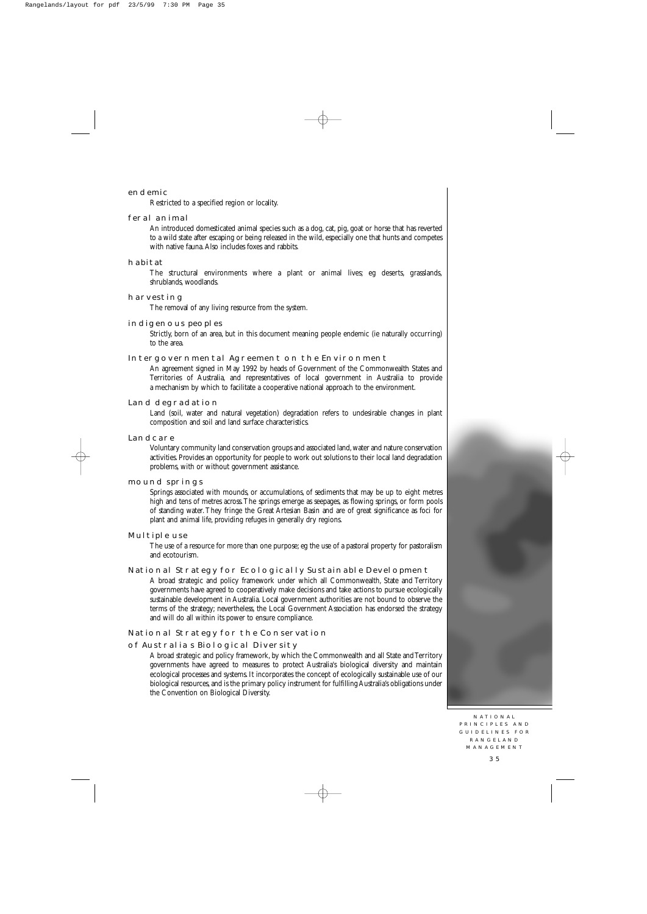#### **ENDEMIC**

Restricted to a specified region or locality.

#### feral animal

An introduced domesticated animal species such as a dog, cat, pig, goat or horse that has reverted to a wild state after escaping or being released in the wild, especially one that hunts and competes with native fauna. Also includes foxes and rabbits.

#### **HABITAT**

The structural environments where a plant or animal lives; eg deserts, grasslands, shrublands, woodlands.

### **HARVESTING**

The removal of any living resource from the system.

#### indigenous peoples

Strictly, born of an area, but in this document meaning people endemic (ie naturally occurring) to the area.

### Intergovernmental Agreement on the Environment

An agreement signed in May 1992 by heads of Government of the Commonwealth States and Territories of Australia, and representatives of local government in Australia to provide a mechanism by which to facilitate a cooperative national approach to the environment.

#### Land degradation

Land (soil, water and natural vegetation) degradation refers to undesirable changes in plant composition and soil and land surface characteristics.

#### **LANDCARE**

Voluntary community land conservation groups and associated land, water and nature conservation activities. Provides an opportunity for people to work out solutions to their local land degradation problems, with or without government assistance.

#### MOUND SPRINGS

Springs associated with mounds, or accumulations, of sediments that may be up to eight metres high and tens of metres across.The springs emerge as seepages, as flowing springs, or form pools of standing water. They fringe the Great Artesian Basin and are of great significance as foci for plant and animal life, providing refuges in generally dry regions.

#### Multiple use

The use of a resource for more than one purpose; eg the use of a pastoral property for pastoralism and ecotourism.

## National Strategy for Ecologically Sustainable Development

A broad strategic and policy framework under which all Commonwealth, State and Territory governments have agreed to cooperatively make decisions and take actions to pursue ecologically sustainable development in Australia. Local government authorities are not bound to observe the terms of the strategy; nevertheless, the Local Government Association has endorsed the strategy and will do all within its power to ensure compliance.

## National Strategy for the Conservation

### of Australia s Biological Diversity

A broad strategic and policy framework, by which the Commonwealth and all State and Territory governments have agreed to measures to protect Australia's biological diversity and maintain ecological processes and systems. It incorporates the concept of ecologically sustainable use of our biological resources, and is the primary policy instrument for fulfilling Australia's obligations under the Convention on Biological Diversity.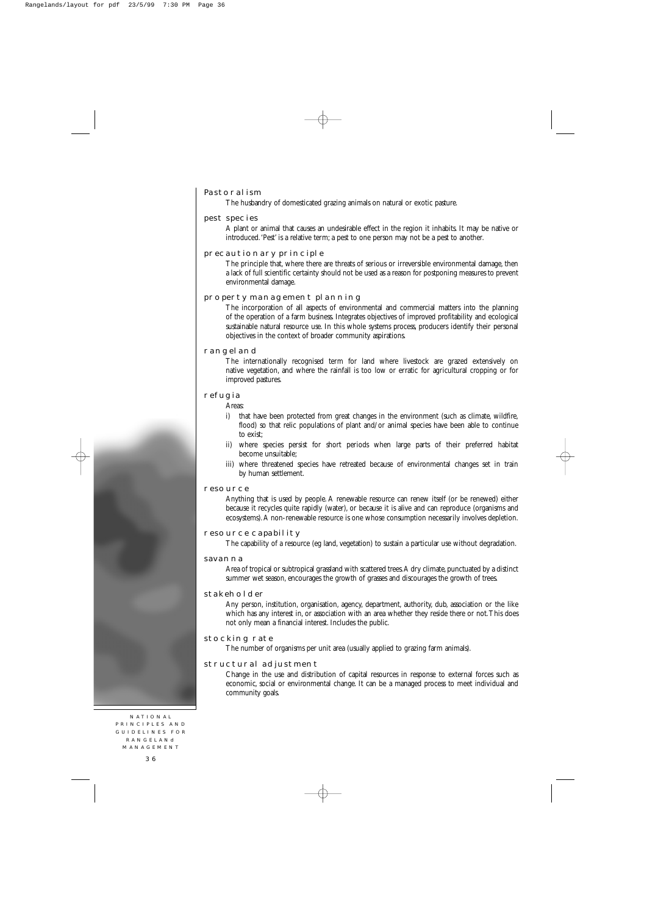#### **PASTORALISM**

The husbandry of domesticated grazing animals on natural or exotic pasture.

#### pest species

A plant or animal that causes an undesirable effect in the region it inhabits. It may be native or introduced.'Pest' is a relative term; a pest to one person may not be a pest to another.

#### precautionary principle

The principle that, where there are threats of serious or irreversible environmental damage, then a lack of full scientific certainty should not be used as a reason for postponing measures to prevent environmental damage.

#### property management planning

The incorporation of all aspects of environmental and commercial matters into the planning of the operation of a farm business. Integrates objectives of improved profitability and ecological sustainable natural resource use. In this whole systems process, producers identify their personal objectives in the context of broader community aspirations.

#### rangeland

The internationally recognised term for land where livestock are grazed extensively on native vegetation, and where the rainfall is too low or erratic for agricultural cropping or for improved pastures.

#### **REFUGIA**

Areas:

- i) that have been protected from great changes in the environment (such as climate, wildfire, flood) so that relic populations of plant and/or animal species have been able to continue to exist;
- ii) where species persist for short periods when large parts of their preferred habitat become unsuitable;
- iii) where threatened species have retreated because of environmental changes set in train by human settlement.

#### **RESOURCE**

Anything that is used by people. A renewable resource can renew itself (or be renewed) either because it recycles quite rapidly (water), or because it is alive and can reproduce (organisms and ecosystems).A non-renewable resource is one whose consumption necessarily involves depletion.

#### resource capability

The capability of a resource (eg land, vegetation) to sustain a particular use without degradation.

#### **SAVANNA**

Area of tropical or subtropical grassland with scattered trees.A dry climate, punctuated by a distinct summer wet season, encourages the growth of grasses and discourages the growth of trees.

#### **STAKEHOLDER**

Any person, institution, organisation, agency, department, authority, dub, association or the like which has any interest in, or association with an area whether they reside there or not.This does not only mean a financial interest. Includes the public.

#### stocking rate

The number of organisms per unit area (usually applied to grazing farm animals).

#### structural adjustment

Change in the use and distribution of capital resources in response to external forces such as economic, social or environmental change. It can be a managed process to meet individual and community goals.